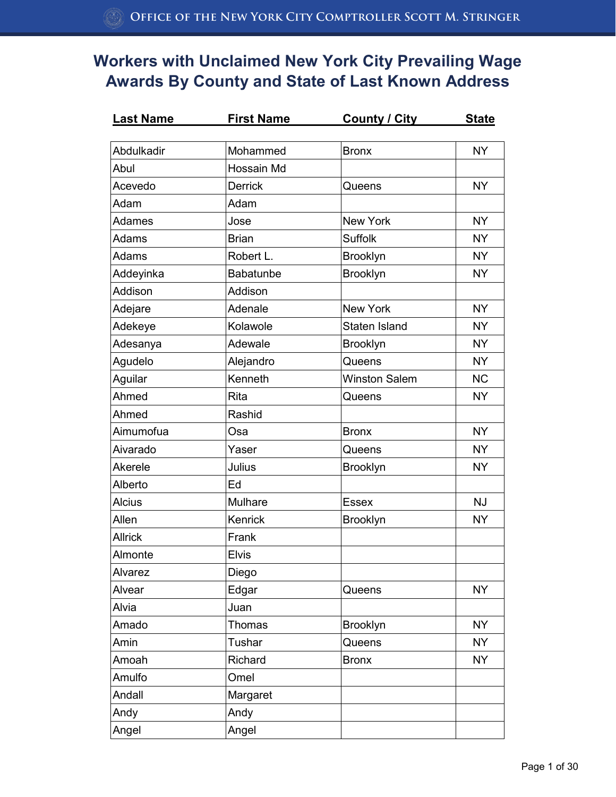| <u>Last Name</u> | First Name     | <u>County / City</u> | <u>State</u> |
|------------------|----------------|----------------------|--------------|
| Abdulkadir       |                |                      |              |
|                  | Mohammed       | <b>Bronx</b>         | <b>NY</b>    |
| Abul             | Hossain Md     |                      |              |
| Acevedo          | <b>Derrick</b> | Queens               | <b>NY</b>    |
| Adam             | Adam           |                      |              |
| Adames           | Jose           | New York             | <b>NY</b>    |
| Adams            | <b>Brian</b>   | <b>Suffolk</b>       | <b>NY</b>    |
| Adams            | Robert L.      | <b>Brooklyn</b>      | <b>NY</b>    |
| Addeyinka        | Babatunbe      | Brooklyn             | <b>NY</b>    |
| Addison          | Addison        |                      |              |
| Adejare          | Adenale        | <b>New York</b>      | <b>NY</b>    |
| Adekeye          | Kolawole       | Staten Island        | <b>NY</b>    |
| Adesanya         | Adewale        | Brooklyn             | <b>NY</b>    |
| Agudelo          | Alejandro      | Queens               | <b>NY</b>    |
| Aguilar          | Kenneth        | <b>Winston Salem</b> | <b>NC</b>    |
| Ahmed            | Rita           | Queens               | <b>NY</b>    |
| Ahmed            | Rashid         |                      |              |
| Aimumofua        | Osa            | <b>Bronx</b>         | <b>NY</b>    |
| Aivarado         | Yaser          | Queens               | <b>NY</b>    |
| Akerele          | Julius         | <b>Brooklyn</b>      | <b>NY</b>    |
| Alberto          | Ed             |                      |              |
| <b>Alcius</b>    | <b>Mulhare</b> | <b>Essex</b>         | <b>NJ</b>    |
| Allen            | Kenrick        | <b>Brooklyn</b>      | <b>NY</b>    |
| <b>Allrick</b>   | Frank          |                      |              |
| Almonte          | <b>Elvis</b>   |                      |              |
| Alvarez          | Diego          |                      |              |
| Alvear           | Edgar          | Queens               | <b>NY</b>    |
| Alvia            | Juan           |                      |              |
| Amado            | Thomas         | <b>Brooklyn</b>      | <b>NY</b>    |
| Amin             | Tushar         | Queens               | <b>NY</b>    |
| Amoah            | Richard        | <b>Bronx</b>         | <b>NY</b>    |
| Amulfo           | Omel           |                      |              |
| Andall           | Margaret       |                      |              |
| Andy             | Andy           |                      |              |
| Angel            | Angel          |                      |              |
|                  |                |                      |              |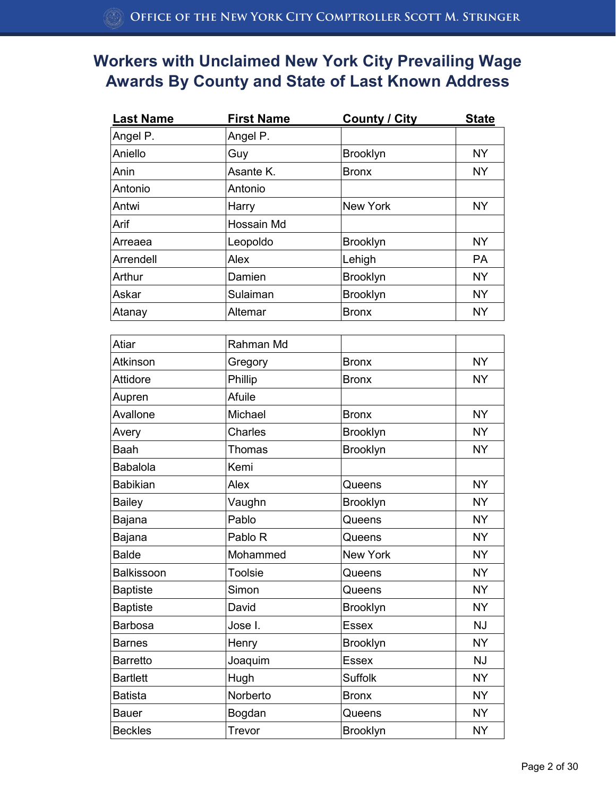| <b>Last Name</b> | <b>First Name</b> | <b>County / City</b> | <b>State</b> |
|------------------|-------------------|----------------------|--------------|
| Angel P.         | Angel P.          |                      |              |
| Aniello          | Guy               | <b>Brooklyn</b>      | <b>NY</b>    |
| Anin             | Asante K.         | <b>Bronx</b>         | <b>NY</b>    |
| Antonio          | Antonio           |                      |              |
| Antwi            | Harry             | <b>New York</b>      | <b>NY</b>    |
| Arif             | Hossain Md        |                      |              |
| Arreaea          | Leopoldo          | <b>Brooklyn</b>      | <b>NY</b>    |
| Arrendell        | Alex              | Lehigh               | <b>PA</b>    |
| Arthur           | Damien            | <b>Brooklyn</b>      | <b>NY</b>    |
| Askar            | Sulaiman          | Brooklyn             | <b>NY</b>    |
| Atanay           | Altemar           | <b>Bronx</b>         | <b>NY</b>    |
|                  |                   |                      |              |
| Atiar            | Rahman Md         |                      |              |
| Atkinson         | Gregory           | <b>Bronx</b>         | <b>NY</b>    |
| Attidore         | Phillip           | <b>Bronx</b>         | <b>NY</b>    |
| Aupren           | Afuile            |                      |              |
| Avallone         | Michael           | <b>Bronx</b>         | <b>NY</b>    |
| Avery            | Charles           | <b>Brooklyn</b>      | <b>NY</b>    |
| <b>Baah</b>      | Thomas            | Brooklyn             | <b>NY</b>    |
| <b>Babalola</b>  | Kemi              |                      |              |
| <b>Babikian</b>  | Alex              | Queens               | <b>NY</b>    |
| <b>Bailey</b>    | Vaughn            | <b>Brooklyn</b>      | <b>NY</b>    |
| Bajana           | Pablo             | Queens               | <b>NY</b>    |
| Bajana           | Pablo R           | Queens               | <b>NY</b>    |
| <b>Balde</b>     | Mohammed          | New York             | <b>NY</b>    |
| Balkissoon       | <b>Toolsie</b>    | Queens               | <b>NY</b>    |
| <b>Baptiste</b>  | Simon             | Queens               | <b>NY</b>    |
| <b>Baptiste</b>  | David             | Brooklyn             | <b>NY</b>    |
| <b>Barbosa</b>   | Jose I.           | <b>Essex</b>         | <b>NJ</b>    |
| <b>Barnes</b>    | Henry             | <b>Brooklyn</b>      | <b>NY</b>    |
| <b>Barretto</b>  | Joaquim           | <b>Essex</b>         | <b>NJ</b>    |
| <b>Bartlett</b>  | Hugh              | Suffolk              | <b>NY</b>    |
| <b>Batista</b>   | Norberto          | <b>Bronx</b>         | <b>NY</b>    |
| <b>Bauer</b>     | Bogdan            | Queens               | <b>NY</b>    |
| <b>Beckles</b>   | Trevor            | <b>Brooklyn</b>      | <b>NY</b>    |
|                  |                   |                      |              |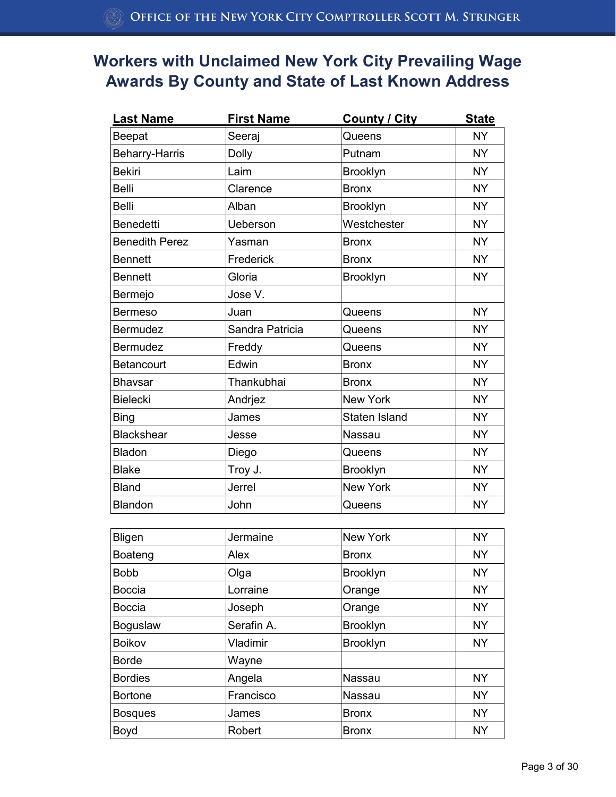| <b>Last Name</b>      | <b>First Name</b> | <b>County / City</b> | <b>State</b> |
|-----------------------|-------------------|----------------------|--------------|
| Beepat                | Seeraj            | Queens               | <b>NY</b>    |
| <b>Beharry-Harris</b> | <b>Dolly</b>      | Putnam               | <b>NY</b>    |
| <b>Bekiri</b>         | Laim              | Brooklyn             | <b>NY</b>    |
| <b>Belli</b>          | Clarence          | <b>Bronx</b>         | <b>NY</b>    |
| <b>Belli</b>          | Alban             | <b>Brooklyn</b>      | <b>NY</b>    |
| <b>Benedetti</b>      | <b>Ueberson</b>   | Westchester          | <b>NY</b>    |
| <b>Benedith Perez</b> | Yasman            | <b>Bronx</b>         | <b>NY</b>    |
| <b>Bennett</b>        | Frederick         | <b>Bronx</b>         | <b>NY</b>    |
| <b>Bennett</b>        | Gloria            | Brooklyn             | <b>NY</b>    |
| Bermejo               | Jose V.           |                      |              |
| <b>Bermeso</b>        | Juan              | Queens               | <b>NY</b>    |
| <b>Bermudez</b>       | Sandra Patricia   | Queens               | <b>NY</b>    |
| <b>Bermudez</b>       | Freddy            | Queens               | <b>NY</b>    |
| <b>Betancourt</b>     | Edwin             | <b>Bronx</b>         | <b>NY</b>    |
| <b>Bhavsar</b>        | Thankubhai        | <b>Bronx</b>         | <b>NY</b>    |
| <b>Bielecki</b>       | Andrjez           | <b>New York</b>      | <b>NY</b>    |
| <b>Bing</b>           | James             | <b>Staten Island</b> | <b>NY</b>    |
| <b>Blackshear</b>     | Jesse             | Nassau               | <b>NY</b>    |
| Bladon                | Diego             | Queens               | <b>NY</b>    |
| <b>Blake</b>          | Troy J.           | <b>Brooklyn</b>      | <b>NY</b>    |
| <b>Bland</b>          | Jerrel            | <b>New York</b>      | <b>NY</b>    |
| Blandon               | John              | Queens               | <b>NY</b>    |
|                       |                   |                      |              |
| Bligen                | Jermaine          | <b>New York</b>      | <b>NY</b>    |
| Boateng               | Alex              | <b>Bronx</b>         | <b>NY</b>    |
| <b>Bobb</b>           | Olga              | <b>Brooklyn</b>      | <b>NY</b>    |

| JUNICILITY | ו אפטא ויטו     | 1 Y L     |
|------------|-----------------|-----------|
| Alex       | <b>Bronx</b>    | <b>NY</b> |
| Olga       | <b>Brooklyn</b> | <b>NY</b> |
| Lorraine   | Orange          | <b>NY</b> |
| Joseph     | Orange          | <b>NY</b> |
| Serafin A. | <b>Brooklyn</b> | <b>NY</b> |
| Vladimir   | <b>Brooklyn</b> | <b>NY</b> |
| Wayne      |                 |           |
| Angela     | Nassau          | <b>NY</b> |
| Francisco  | Nassau          | <b>NY</b> |
| James      | <b>Bronx</b>    | <b>NY</b> |
| Robert     | <b>Bronx</b>    | <b>NY</b> |
|            |                 |           |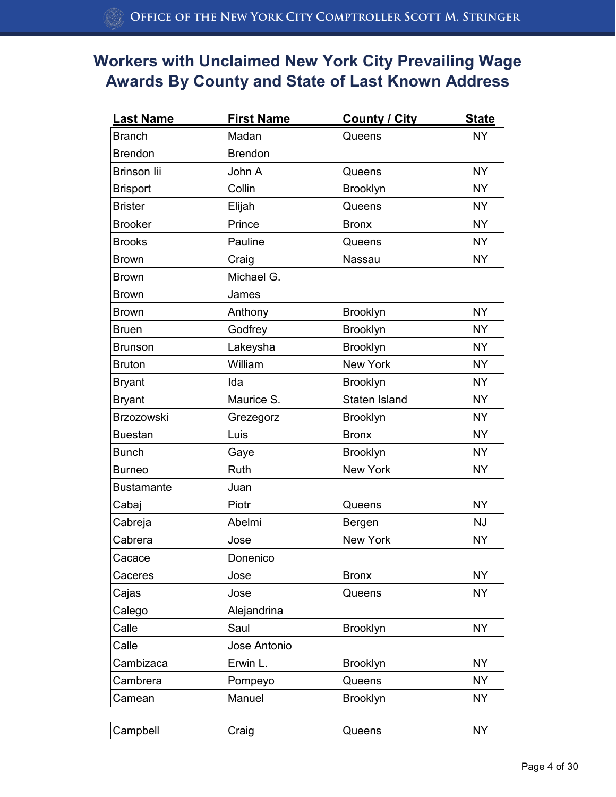| <b>Last Name</b>  | <b>First Name</b> | <b>County / City</b> | <b>State</b> |
|-------------------|-------------------|----------------------|--------------|
| <b>Branch</b>     | Madan             | Queens               | <b>NY</b>    |
| <b>Brendon</b>    | <b>Brendon</b>    |                      |              |
| Brinson lii       | John A            | Queens               | <b>NY</b>    |
| <b>Brisport</b>   | Collin            | <b>Brooklyn</b>      | <b>NY</b>    |
| <b>Brister</b>    | Elijah            | Queens               | <b>NY</b>    |
| <b>Brooker</b>    | Prince            | <b>Bronx</b>         | <b>NY</b>    |
| <b>Brooks</b>     | Pauline           | Queens               | <b>NY</b>    |
| <b>Brown</b>      | Craig             | Nassau               | <b>NY</b>    |
| <b>Brown</b>      | Michael G.        |                      |              |
| <b>Brown</b>      | James             |                      |              |
| <b>Brown</b>      | Anthony           | <b>Brooklyn</b>      | <b>NY</b>    |
| <b>Bruen</b>      | Godfrey           | Brooklyn             | NY.          |
| <b>Brunson</b>    | Lakeysha          | Brooklyn             | <b>NY</b>    |
| <b>Bruton</b>     | William           | <b>New York</b>      | <b>NY</b>    |
| <b>Bryant</b>     | Ida               | Brooklyn             | <b>NY</b>    |
| <b>Bryant</b>     | Maurice S.        | Staten Island        | <b>NY</b>    |
| Brzozowski        | Grezegorz         | Brooklyn             | <b>NY</b>    |
| <b>Buestan</b>    | Luis              | <b>Bronx</b>         | <b>NY</b>    |
| <b>Bunch</b>      | Gaye              | <b>Brooklyn</b>      | <b>NY</b>    |
| <b>Burneo</b>     | Ruth              | New York             | <b>NY</b>    |
| <b>Bustamante</b> | Juan              |                      |              |
| Cabaj             | Piotr             | Queens               | <b>NY</b>    |
| Cabreja           | Abelmi            | Bergen               | <b>NJ</b>    |
| Cabrera           | Jose              | New York             | <b>NY</b>    |
| Cacace            | Donenico          |                      |              |
| Caceres           | Jose              | <b>Bronx</b>         | <b>NY</b>    |
| Cajas             | Jose              | Queens               | <b>NY</b>    |
| Calego            | Alejandrina       |                      |              |
| Calle             | Saul              | Brooklyn             | <b>NY</b>    |
| Calle             | Jose Antonio      |                      |              |
| Cambizaca         | Erwin L.          | <b>Brooklyn</b>      | <b>NY</b>    |
| Cambrera          | Pompeyo           | Queens               | <b>NY</b>    |
| Camean            | Manuel            | Brooklyn             | <b>NY</b>    |

| ' ف | Campbell<br>חורזי<br>ueens<br>N |
|-----|---------------------------------|
|-----|---------------------------------|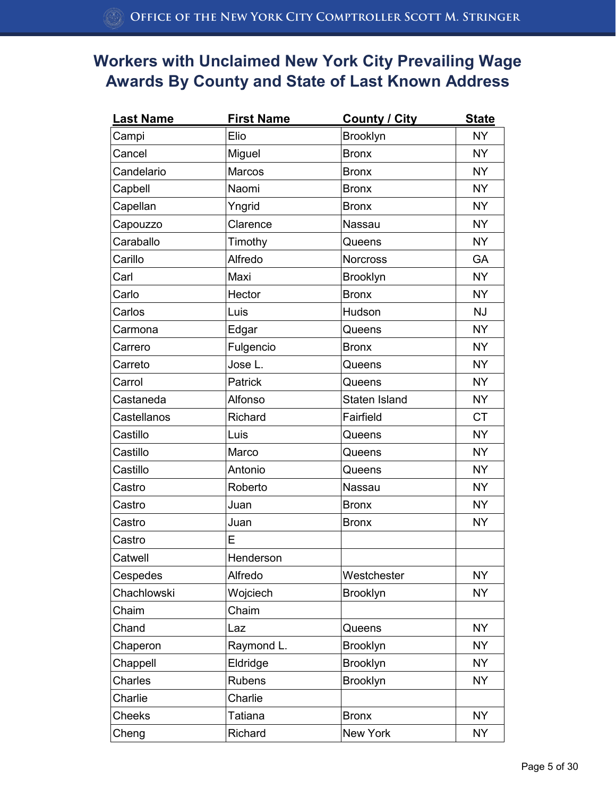| <b>Last Name</b> | <b>First Name</b> | <b>County / City</b> | <b>State</b> |
|------------------|-------------------|----------------------|--------------|
| Campi            | Elio              | Brooklyn             | <b>NY</b>    |
| Cancel           | Miguel            | <b>Bronx</b>         | <b>NY</b>    |
| Candelario       | Marcos            | <b>Bronx</b>         | <b>NY</b>    |
| Capbell          | Naomi             | <b>Bronx</b>         | <b>NY</b>    |
| Capellan         | Yngrid            | <b>Bronx</b>         | NY.          |
| Capouzzo         | Clarence          | Nassau               | <b>NY</b>    |
| Caraballo        | Timothy           | Queens               | <b>NY</b>    |
| Carillo          | Alfredo           | <b>Norcross</b>      | GA           |
| Carl             | Maxi              | <b>Brooklyn</b>      | <b>NY</b>    |
| Carlo            | Hector            | <b>Bronx</b>         | <b>NY</b>    |
| Carlos           | Luis              | Hudson               | <b>NJ</b>    |
| Carmona          | Edgar             | Queens               | <b>NY</b>    |
| Carrero          | Fulgencio         | <b>Bronx</b>         | <b>NY</b>    |
| Carreto          | Jose L.           | Queens               | <b>NY</b>    |
| Carrol           | Patrick           | Queens               | <b>NY</b>    |
| Castaneda        | Alfonso           | Staten Island        | NY.          |
| Castellanos      | Richard           | Fairfield            | <b>CT</b>    |
| Castillo         | Luis              | Queens               | <b>NY</b>    |
| Castillo         | Marco             | Queens               | <b>NY</b>    |
| Castillo         | Antonio           | Queens               | <b>NY</b>    |
| Castro           | Roberto           | Nassau               | <b>NY</b>    |
| Castro           | Juan              | <b>Bronx</b>         | <b>NY</b>    |
| Castro           | Juan              | <b>Bronx</b>         | <b>NY</b>    |
| Castro           | E                 |                      |              |
| Catwell          | Henderson         |                      |              |
| Cespedes         | Alfredo           | Westchester          | <b>NY</b>    |
| Chachlowski      | Wojciech          | Brooklyn             | <b>NY</b>    |
| Chaim            | Chaim             |                      |              |
| Chand            | Laz               | Queens               | <b>NY</b>    |
| Chaperon         | Raymond L.        | <b>Brooklyn</b>      | <b>NY</b>    |
| Chappell         | Eldridge          | Brooklyn             | <b>NY</b>    |
| Charles          | <b>Rubens</b>     | Brooklyn             | <b>NY</b>    |
| Charlie          | Charlie           |                      |              |
| <b>Cheeks</b>    | Tatiana           | <b>Bronx</b>         | <b>NY</b>    |
| Cheng            | Richard           | New York             | <b>NY</b>    |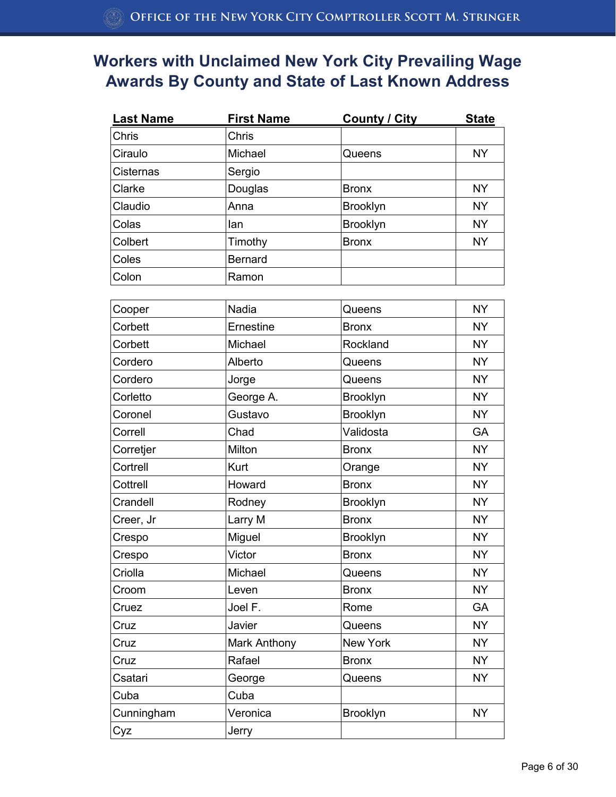| <b>Last Name</b> | <b>First Name</b> | <b>County / City</b> | <b>State</b> |
|------------------|-------------------|----------------------|--------------|
| <b>Chris</b>     | <b>Chris</b>      |                      |              |
| Ciraulo          | Michael           | Queens               | <b>NY</b>    |
| Cisternas        | Sergio            |                      |              |
| Clarke           | Douglas           | <b>Bronx</b>         | <b>NY</b>    |
| Claudio          | Anna              | <b>Brooklyn</b>      | <b>NY</b>    |
| Colas            | lan               | <b>Brooklyn</b>      | <b>NY</b>    |
| Colbert          | Timothy           | <b>Bronx</b>         | <b>NY</b>    |
| Coles            | <b>Bernard</b>    |                      |              |
| Colon            | Ramon             |                      |              |

| Cooper     | Nadia        | Queens          | <b>NY</b> |
|------------|--------------|-----------------|-----------|
| Corbett    | Ernestine    | <b>Bronx</b>    | <b>NY</b> |
| Corbett    | Michael      | Rockland        | <b>NY</b> |
| Cordero    | Alberto      | Queens          | <b>NY</b> |
| Cordero    | Jorge        | Queens          | <b>NY</b> |
| Corletto   | George A.    | Brooklyn        | <b>NY</b> |
| Coronel    | Gustavo      | Brooklyn        | <b>NY</b> |
| Correll    | Chad         | Validosta       | GA        |
| Corretjer  | Milton       | <b>Bronx</b>    | <b>NY</b> |
| Cortrell   | <b>Kurt</b>  | Orange          | <b>NY</b> |
| Cottrell   | Howard       | <b>Bronx</b>    | <b>NY</b> |
| Crandell   | Rodney       | Brooklyn        | <b>NY</b> |
| Creer, Jr  | Larry M      | <b>Bronx</b>    | <b>NY</b> |
| Crespo     | Miguel       | Brooklyn        | <b>NY</b> |
| Crespo     | Victor       | <b>Bronx</b>    | <b>NY</b> |
| Criolla    | Michael      | Queens          | <b>NY</b> |
| Croom      | Leven        | <b>Bronx</b>    | <b>NY</b> |
| Cruez      | Joel F.      | Rome            | <b>GA</b> |
| Cruz       | Javier       | Queens          | <b>NY</b> |
| Cruz       | Mark Anthony | <b>New York</b> | <b>NY</b> |
| Cruz       | Rafael       | <b>Bronx</b>    | <b>NY</b> |
| Csatari    | George       | Queens          | <b>NY</b> |
| Cuba       | Cuba         |                 |           |
| Cunningham | Veronica     | Brooklyn        | <b>NY</b> |
| Cyz        | Jerry        |                 |           |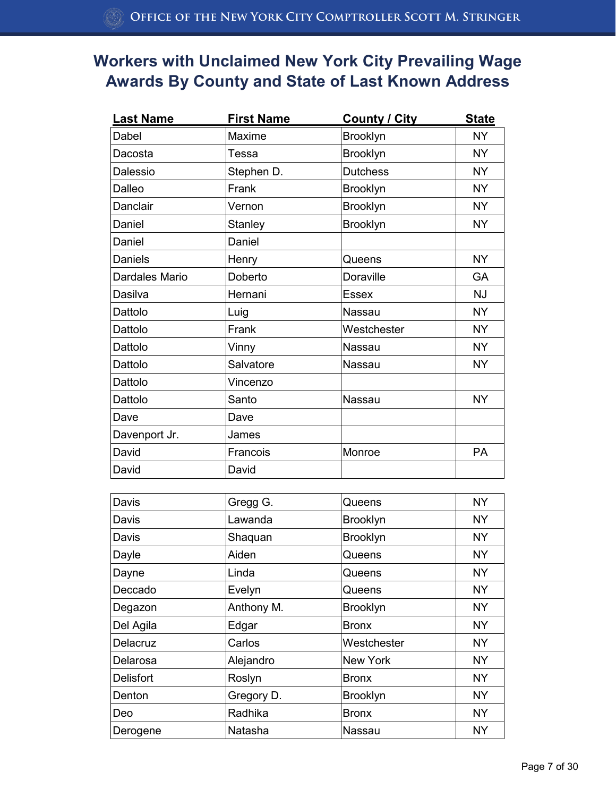| <b>Last Name</b> | <b>First Name</b> | <b>County / City</b> | <b>State</b> |
|------------------|-------------------|----------------------|--------------|
| Dabel            | Maxime            | Brooklyn             | <b>NY</b>    |
| Dacosta          | Tessa             | Brooklyn             | <b>NY</b>    |
| Dalessio         | Stephen D.        | <b>Dutchess</b>      | <b>NY</b>    |
| Dalleo           | Frank             | Brooklyn             | <b>NY</b>    |
| Danclair         | Vernon            | Brooklyn             | <b>NY</b>    |
| Daniel           | Stanley           | Brooklyn             | <b>NY</b>    |
| Daniel           | Daniel            |                      |              |
| <b>Daniels</b>   | Henry             | Queens               | <b>NY</b>    |
| Dardales Mario   | Doberto           | <b>Doraville</b>     | <b>GA</b>    |
| Dasilva          | Hernani           | <b>Essex</b>         | <b>NJ</b>    |
| Dattolo          | Luig              | Nassau               | <b>NY</b>    |
| Dattolo          | Frank             | Westchester          | <b>NY</b>    |
| Dattolo          | Vinny             | Nassau               | <b>NY</b>    |
| Dattolo          | Salvatore         | Nassau               | <b>NY</b>    |
| Dattolo          | Vincenzo          |                      |              |
| Dattolo          | Santo             | Nassau               | <b>NY</b>    |
| Dave             | Dave              |                      |              |
| Davenport Jr.    | James             |                      |              |
| David            | Francois          | Monroe               | PA           |
| David            | David             |                      |              |
|                  |                   |                      |              |
| Davis            | Gregg G.          | Queens               | <b>NY</b>    |
| Davis            | Lawanda           | <b>Rrooklyn</b>      | <b>NY</b>    |

| Davis            | Gregg G.   | Queens          | NY        |
|------------------|------------|-----------------|-----------|
| Davis            | Lawanda    | <b>Brooklyn</b> | <b>NY</b> |
| Davis            | Shaquan    | <b>Brooklyn</b> | <b>NY</b> |
| Dayle            | Aiden      | Queens          | <b>NY</b> |
| Dayne            | Linda      | Queens          | <b>NY</b> |
| Deccado          | Evelyn     | Queens          | <b>NY</b> |
| Degazon          | Anthony M. | <b>Brooklyn</b> | <b>NY</b> |
| Del Agila        | Edgar      | <b>Bronx</b>    | <b>NY</b> |
| Delacruz         | Carlos     | Westchester     | <b>NY</b> |
| Delarosa         | Alejandro  | New York        | <b>NY</b> |
| <b>Delisfort</b> | Roslyn     | <b>Bronx</b>    | <b>NY</b> |
| Denton           | Gregory D. | <b>Brooklyn</b> | <b>NY</b> |
| Deo              | Radhika    | <b>Bronx</b>    | <b>NY</b> |
| Derogene         | Natasha    | Nassau          | <b>NY</b> |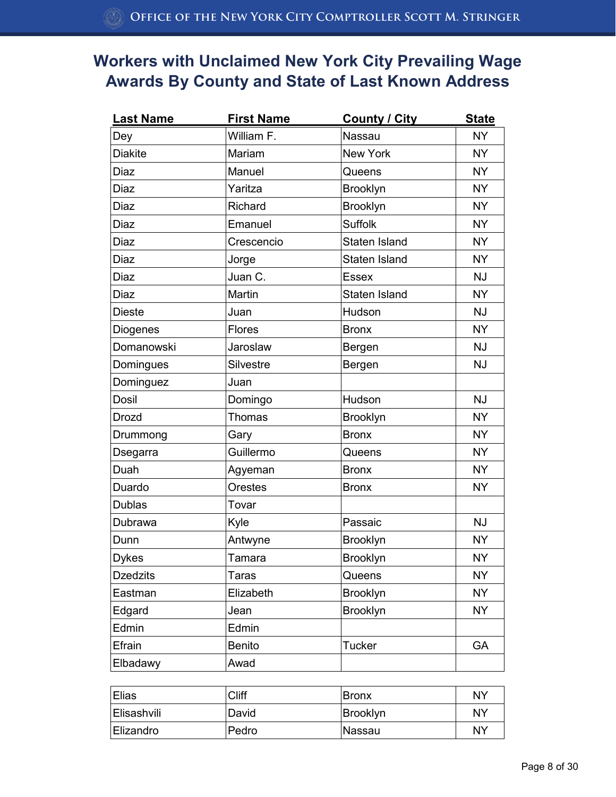| <b>Last Name</b> | <b>First Name</b> | <b>County / City</b> | <b>State</b> |
|------------------|-------------------|----------------------|--------------|
| Dey              | William F.        | Nassau               | <b>NY</b>    |
| <b>Diakite</b>   | Mariam            | New York             | <b>NY</b>    |
| Diaz             | Manuel            | Queens               | <b>NY</b>    |
| <b>Diaz</b>      | Yaritza           | <b>Brooklyn</b>      | <b>NY</b>    |
| Diaz             | Richard           | Brooklyn             | <b>NY</b>    |
| <b>Diaz</b>      | Emanuel           | <b>Suffolk</b>       | <b>NY</b>    |
| <b>Diaz</b>      | Crescencio        | Staten Island        | <b>NY</b>    |
| Diaz             | Jorge             | Staten Island        | <b>NY</b>    |
| Diaz             | Juan C.           | <b>Essex</b>         | <b>NJ</b>    |
| Diaz             | Martin            | <b>Staten Island</b> | <b>NY</b>    |
| <b>Dieste</b>    | Juan              | Hudson               | <b>NJ</b>    |
| Diogenes         | Flores            | <b>Bronx</b>         | <b>NY</b>    |
| Domanowski       | Jaroslaw          | Bergen               | <b>NJ</b>    |
| Domingues        | Silvestre         | Bergen               | <b>NJ</b>    |
| Dominguez        | Juan              |                      |              |
| <b>Dosil</b>     | Domingo           | Hudson               | <b>NJ</b>    |
| <b>Drozd</b>     | Thomas            | Brooklyn             | <b>NY</b>    |
| Drummong         | Gary              | <b>Bronx</b>         | <b>NY</b>    |
| Dsegarra         | Guillermo         | Queens               | <b>NY</b>    |
| Duah             | Agyeman           | <b>Bronx</b>         | <b>NY</b>    |
| Duardo           | Orestes           | <b>Bronx</b>         | <b>NY</b>    |
| <b>Dublas</b>    | Tovar             |                      |              |
| Dubrawa          | Kyle              | Passaic              | <b>NJ</b>    |
| Dunn             | Antwyne           | Brooklyn             | <b>NY</b>    |
| <b>Dykes</b>     | Tamara            | Brooklyn             | <b>NY</b>    |
| <b>Dzedzits</b>  | <b>Taras</b>      | Queens               | <b>NY</b>    |
| Eastman          | Elizabeth         | <b>Brooklyn</b>      | <b>NY</b>    |
| Edgard           | Jean              | <b>Brooklyn</b>      | <b>NY</b>    |
| Edmin            | Edmin             |                      |              |
| Efrain           | <b>Benito</b>     | <b>Tucker</b>        | GA           |
| Elbadawy         | Awad              |                      |              |

| Elias              | Cliff | <b>Bronx</b> | NY |
|--------------------|-------|--------------|----|
| <b>Elisashvili</b> | David | Brooklyn     | NY |
| Elizandro          | Pedro | ∣Nassau      | NY |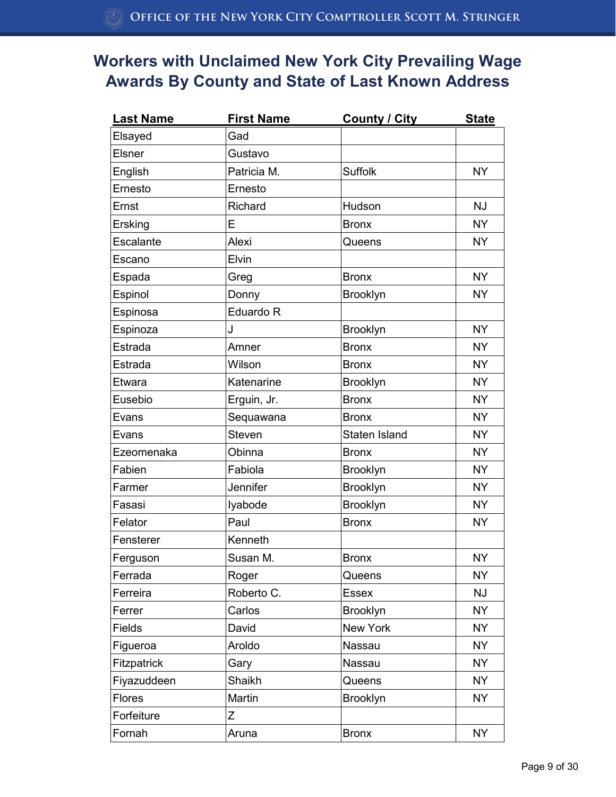| <b>Last Name</b> | <b>First Name</b> | <b>County / City</b> | <b>State</b> |
|------------------|-------------------|----------------------|--------------|
| Elsayed          | Gad               |                      |              |
| Elsner           | Gustavo           |                      |              |
| English          | Patricia M.       | <b>Suffolk</b>       | <b>NY</b>    |
| Ernesto          | Ernesto           |                      |              |
| Ernst            | Richard           | Hudson               | <b>NJ</b>    |
| Ersking          | E                 | <b>Bronx</b>         | <b>NY</b>    |
| Escalante        | Alexi             | Queens               | <b>NY</b>    |
| Escano           | Elvin             |                      |              |
| Espada           | Greg              | <b>Bronx</b>         | <b>NY</b>    |
| Espinol          | Donny             | <b>Brooklyn</b>      | <b>NY</b>    |
| Espinosa         | Eduardo R         |                      |              |
| Espinoza         | J                 | <b>Brooklyn</b>      | <b>NY</b>    |
| Estrada          | Amner             | <b>Bronx</b>         | <b>NY</b>    |
| Estrada          | Wilson            | <b>Bronx</b>         | <b>NY</b>    |
| Etwara           | Katenarine        | <b>Brooklyn</b>      | <b>NY</b>    |
| Eusebio          | Erguin, Jr.       | <b>Bronx</b>         | <b>NY</b>    |
| Evans            | Sequawana         | <b>Bronx</b>         | <b>NY</b>    |
| Evans            | <b>Steven</b>     | Staten Island        | <b>NY</b>    |
| Ezeomenaka       | Obinna            | <b>Bronx</b>         | <b>NY</b>    |
| Fabien           | Fabiola           | <b>Brooklyn</b>      | <b>NY</b>    |
| Farmer           | Jennifer          | Brooklyn             | <b>NY</b>    |
| Fasasi           | lyabode           | <b>Brooklyn</b>      | <b>NY</b>    |
| Felator          | Paul              | <b>Bronx</b>         | <b>NY</b>    |
| Fensterer        | Kenneth           |                      |              |
| Ferguson         | Susan M.          | <b>Bronx</b>         | <b>NY</b>    |
| Ferrada          | Roger             | Queens               | <b>NY</b>    |
| Ferreira         | Roberto C.        | <b>Essex</b>         | <b>NJ</b>    |
| Ferrer           | Carlos            | <b>Brooklyn</b>      | <b>NY</b>    |
| <b>Fields</b>    | David             | New York             | <b>NY</b>    |
| Figueroa         | Aroldo            | Nassau               | <b>NY</b>    |
| Fitzpatrick      | Gary              | Nassau               | <b>NY</b>    |
| Fiyazuddeen      | Shaikh            | Queens               | <b>NY</b>    |
| <b>Flores</b>    | Martin            | <b>Brooklyn</b>      | <b>NY</b>    |
| Forfeiture       | Ζ                 |                      |              |
| Fornah           | Aruna             | <b>Bronx</b>         | <b>NY</b>    |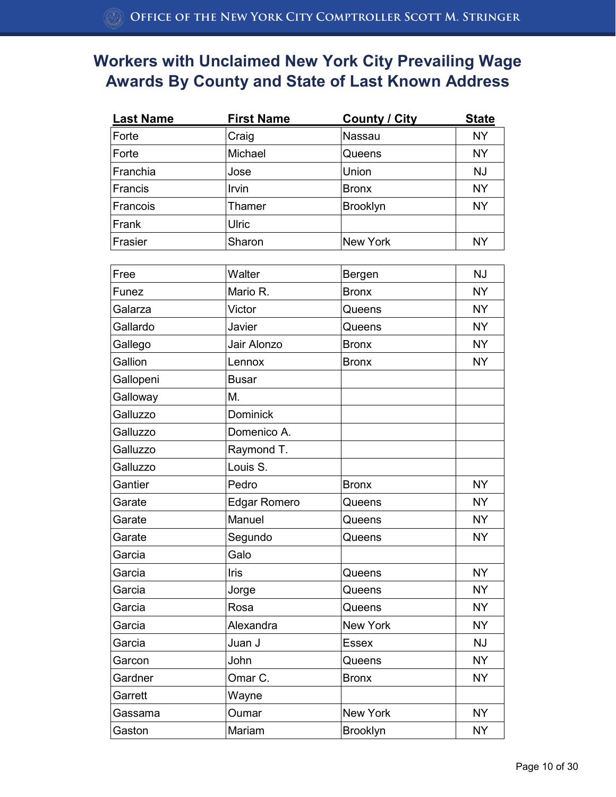| <b>Last Name</b> | <b>First Name</b> | <b>County / City</b> | <b>State</b> |
|------------------|-------------------|----------------------|--------------|
| Forte            | Craig             | Nassau               | <b>NY</b>    |
| Forte            | Michael           | Queens               | <b>NY</b>    |
| Franchia         | Jose              | Union                | NJ           |
| Francis          | <b>Irvin</b>      | <b>Bronx</b>         | <b>NY</b>    |
| Francois         | Thamer            | <b>Brooklyn</b>      | <b>NY</b>    |
| Frank            | <b>Ulric</b>      |                      |              |
| Frasier          | Sharon            | New York             | <b>NY</b>    |

| Free      | Walter              | Bergen          | <b>NJ</b> |
|-----------|---------------------|-----------------|-----------|
| Funez     | Mario R.            | <b>Bronx</b>    | <b>NY</b> |
| Galarza   | Victor              | Queens          | <b>NY</b> |
| Gallardo  | Javier              | Queens          | <b>NY</b> |
| Gallego   | Jair Alonzo         | <b>Bronx</b>    | <b>NY</b> |
| Gallion   | Lennox              | <b>Bronx</b>    | <b>NY</b> |
| Gallopeni | <b>Busar</b>        |                 |           |
| Galloway  | M.                  |                 |           |
| Galluzzo  | <b>Dominick</b>     |                 |           |
| Galluzzo  | Domenico A.         |                 |           |
| Galluzzo  | Raymond T.          |                 |           |
| Galluzzo  | Louis S.            |                 |           |
| Gantier   | Pedro               | <b>Bronx</b>    | <b>NY</b> |
| Garate    | <b>Edgar Romero</b> | Queens          | <b>NY</b> |
| Garate    | Manuel              | Queens          | <b>NY</b> |
| Garate    | Segundo             | Queens          | <b>NY</b> |
| Garcia    | Galo                |                 |           |
| Garcia    | Iris                | Queens          | <b>NY</b> |
| Garcia    | Jorge               | Queens          | <b>NY</b> |
| Garcia    | Rosa                | Queens          | <b>NY</b> |
| Garcia    | Alexandra           | <b>New York</b> | <b>NY</b> |
| Garcia    | Juan J              | <b>Essex</b>    | <b>NJ</b> |
| Garcon    | John                | Queens          | <b>NY</b> |
| Gardner   | Omar C.             | <b>Bronx</b>    | <b>NY</b> |
| Garrett   | Wayne               |                 |           |
| Gassama   | Oumar               | <b>New York</b> | <b>NY</b> |
| Gaston    | Mariam              | Brooklyn        | <b>NY</b> |
|           |                     |                 |           |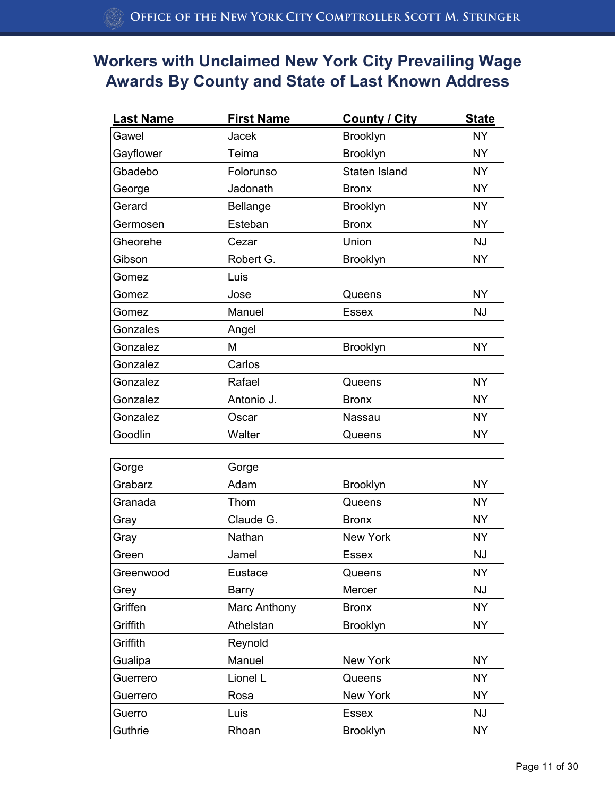| <b>Last Name</b> | <b>First Name</b> | <b>County / City</b> | <b>State</b> |
|------------------|-------------------|----------------------|--------------|
| Gawel            | <b>Jacek</b>      | <b>Brooklyn</b>      | <b>NY</b>    |
| Gayflower        | Teima             | <b>Brooklyn</b>      | <b>NY</b>    |
| Gbadebo          | Folorunso         | Staten Island        | <b>NY</b>    |
| George           | Jadonath          | <b>Bronx</b>         | <b>NY</b>    |
| Gerard           | <b>Bellange</b>   | <b>Brooklyn</b>      | <b>NY</b>    |
| Germosen         | Esteban           | <b>Bronx</b>         | <b>NY</b>    |
| Gheorehe         | Cezar             | Union                | <b>NJ</b>    |
| Gibson           | Robert G.         | <b>Brooklyn</b>      | NY.          |
| Gomez            | Luis              |                      |              |
| Gomez            | Jose              | Queens               | <b>NY</b>    |
| Gomez            | Manuel            | <b>Essex</b>         | NJ           |
| Gonzales         | Angel             |                      |              |
| Gonzalez         | M                 | <b>Brooklyn</b>      | NY.          |
| Gonzalez         | Carlos            |                      |              |
| Gonzalez         | Rafael            | Queens               | <b>NY</b>    |
| Gonzalez         | Antonio J.        | <b>Bronx</b>         | <b>NY</b>    |
| Gonzalez         | Oscar             | Nassau               | <b>NY</b>    |
| Goodlin          | Walter            | Queens               | <b>NY</b>    |

| Gorge     | Gorge        |                 |           |
|-----------|--------------|-----------------|-----------|
| Grabarz   | Adam         | <b>Brooklyn</b> | <b>NY</b> |
| Granada   | Thom         | Queens          | <b>NY</b> |
| Gray      | Claude G.    | <b>Bronx</b>    | <b>NY</b> |
| Gray      | Nathan       | <b>New York</b> | <b>NY</b> |
| Green     | Jamel        | <b>Essex</b>    | <b>NJ</b> |
| Greenwood | Eustace      | Queens          | <b>NY</b> |
| Grey      | <b>Barry</b> | Mercer          | <b>NJ</b> |
| Griffen   | Marc Anthony | <b>Bronx</b>    | <b>NY</b> |
| Griffith  | Athelstan    | <b>Brooklyn</b> | <b>NY</b> |
| Griffith  | Reynold      |                 |           |
| Gualipa   | Manuel       | <b>New York</b> | <b>NY</b> |
| Guerrero  | Lionel L     | Queens          | <b>NY</b> |
| Guerrero  | Rosa         | <b>New York</b> | <b>NY</b> |
| Guerro    | Luis         | <b>Essex</b>    | <b>NJ</b> |
| Guthrie   | Rhoan        | <b>Brooklyn</b> | <b>NY</b> |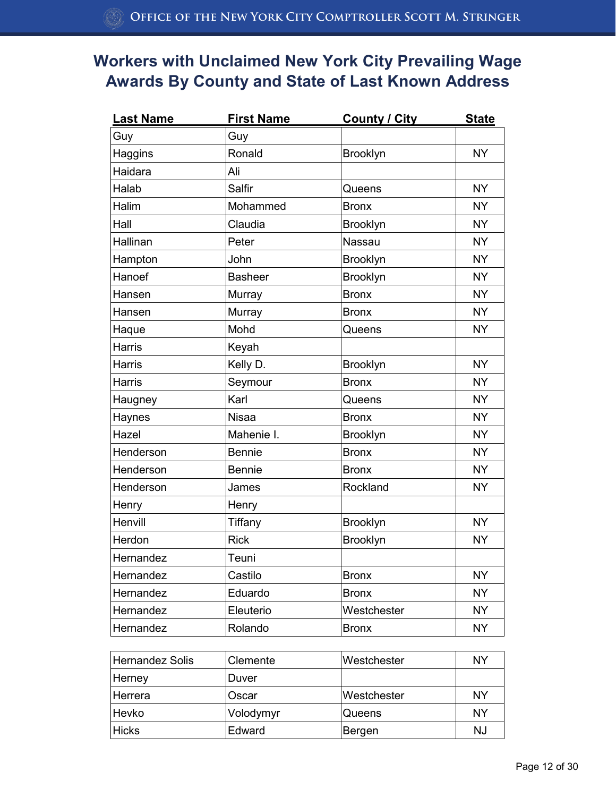| <b>Last Name</b> | <b>First Name</b> | <b>County / City</b> | <b>State</b> |
|------------------|-------------------|----------------------|--------------|
| Guy              | Guy               |                      |              |
| Haggins          | Ronald            | <b>Brooklyn</b>      | <b>NY</b>    |
| Haidara          | Ali               |                      |              |
| Halab            | Salfir            | Queens               | <b>NY</b>    |
| Halim            | Mohammed          | <b>Bronx</b>         | <b>NY</b>    |
| Hall             | Claudia           | <b>Brooklyn</b>      | <b>NY</b>    |
| Hallinan         | Peter             | <b>Nassau</b>        | <b>NY</b>    |
| Hampton          | John              | Brooklyn             | <b>NY</b>    |
| Hanoef           | <b>Basheer</b>    | <b>Brooklyn</b>      | <b>NY</b>    |
| Hansen           | Murray            | <b>Bronx</b>         | <b>NY</b>    |
| Hansen           | Murray            | <b>Bronx</b>         | <b>NY</b>    |
| Haque            | Mohd              | Queens               | <b>NY</b>    |
| Harris           | Keyah             |                      |              |
| Harris           | Kelly D.          | Brooklyn             | <b>NY</b>    |
| Harris           | Seymour           | <b>Bronx</b>         | <b>NY</b>    |
| Haugney          | Karl              | Queens               | <b>NY</b>    |
| Haynes           | Nisaa             | <b>Bronx</b>         | <b>NY</b>    |
| Hazel            | Mahenie I.        | <b>Brooklyn</b>      | <b>NY</b>    |
| Henderson        | <b>Bennie</b>     | <b>Bronx</b>         | <b>NY</b>    |
| Henderson        | <b>Bennie</b>     | <b>Bronx</b>         | <b>NY</b>    |
| Henderson        | James             | Rockland             | <b>NY</b>    |
| Henry            | Henry             |                      |              |
| Henvill          | Tiffany           | Brooklyn             | <b>NY</b>    |
| Herdon           | <b>Rick</b>       | Brooklyn             | <b>NY</b>    |
| Hernandez        | Teuni             |                      |              |
| Hernandez        | Castilo           | <b>Bronx</b>         | <b>NY</b>    |
| Hernandez        | Eduardo           | <b>Bronx</b>         | <b>NY</b>    |
| Hernandez        | Eleuterio         | Westchester          | <b>NY</b>    |
| Hernandez        | Rolando           | <b>Bronx</b>         | NY.          |
|                  |                   |                      |              |

| <b>Hernandez Solis</b> | Clemente  | Westchester        | NY |
|------------------------|-----------|--------------------|----|
| Herney                 | Duver     |                    |    |
| Herrera                | Oscar     | <b>Westchester</b> | ΝY |
| Hevko                  | Volodymyr | Queens             | NY |
| <b>Hicks</b>           | Edward    | Bergen             | NJ |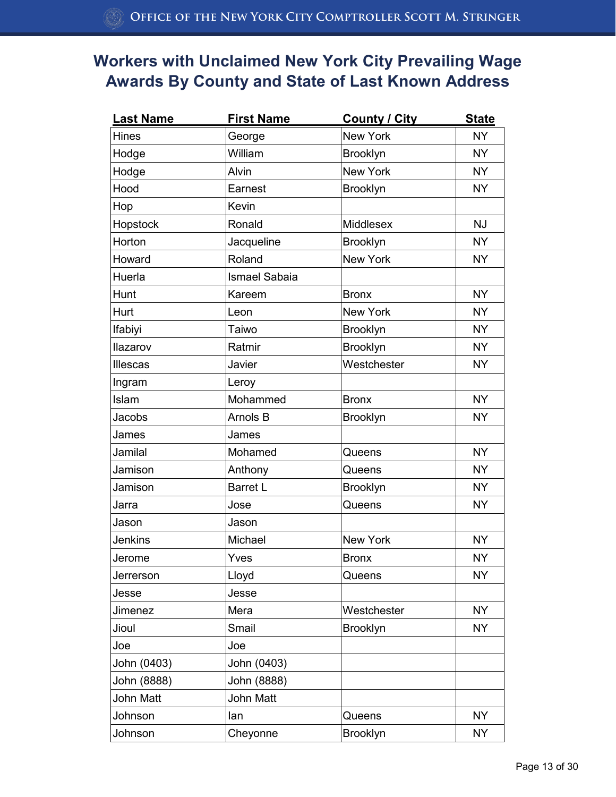| <b>Last Name</b> | <b>First Name</b>    | <b>County / City</b> | <b>State</b> |
|------------------|----------------------|----------------------|--------------|
| Hines            | George               | <b>New York</b>      | <b>NY</b>    |
| Hodge            | William              | <b>Brooklyn</b>      | <b>NY</b>    |
| Hodge            | Alvin                | New York             | <b>NY</b>    |
| Hood             | Earnest              | Brooklyn             | <b>NY</b>    |
| Hop              | Kevin                |                      |              |
| Hopstock         | Ronald               | Middlesex            | <b>NJ</b>    |
| Horton           | Jacqueline           | Brooklyn             | <b>NY</b>    |
| Howard           | Roland               | <b>New York</b>      | <b>NY</b>    |
| Huerla           | <b>Ismael Sabaia</b> |                      |              |
| Hunt             | Kareem               | <b>Bronx</b>         | <b>NY</b>    |
| Hurt             | Leon                 | <b>New York</b>      | <b>NY</b>    |
| Ifabiyi          | Taiwo                | <b>Brooklyn</b>      | <b>NY</b>    |
| Ilazarov         | Ratmir               | <b>Brooklyn</b>      | <b>NY</b>    |
| Illescas         | Javier               | Westchester          | <b>NY</b>    |
| Ingram           | Leroy                |                      |              |
| Islam            | Mohammed             | <b>Bronx</b>         | <b>NY</b>    |
| Jacobs           | Arnols B             | <b>Brooklyn</b>      | <b>NY</b>    |
| James            | James                |                      |              |
| Jamilal          | Mohamed              | Queens               | <b>NY</b>    |
| Jamison          | Anthony              | Queens               | <b>NY</b>    |
| Jamison          | <b>Barret L</b>      | <b>Brooklyn</b>      | <b>NY</b>    |
| Jarra            | Jose                 | Queens               | <b>NY</b>    |
| Jason            | Jason                |                      |              |
| <b>Jenkins</b>   | Michael              | <b>New York</b>      | <b>NY</b>    |
| Jerome           | Yves                 | <b>Bronx</b>         | <b>NY</b>    |
| Jerrerson        | Lloyd                | Queens               | <b>NY</b>    |
| Jesse            | Jesse                |                      |              |
| Jimenez          | Mera                 | Westchester          | <b>NY</b>    |
| Jioul            | Smail                | <b>Brooklyn</b>      | <b>NY</b>    |
| Joe              | Joe                  |                      |              |
| John (0403)      | John (0403)          |                      |              |
| John (8888)      | John (8888)          |                      |              |
| John Matt        | <b>John Matt</b>     |                      |              |
| Johnson          | lan                  | Queens               | <b>NY</b>    |
| Johnson          | Cheyonne             | Brooklyn             | <b>NY</b>    |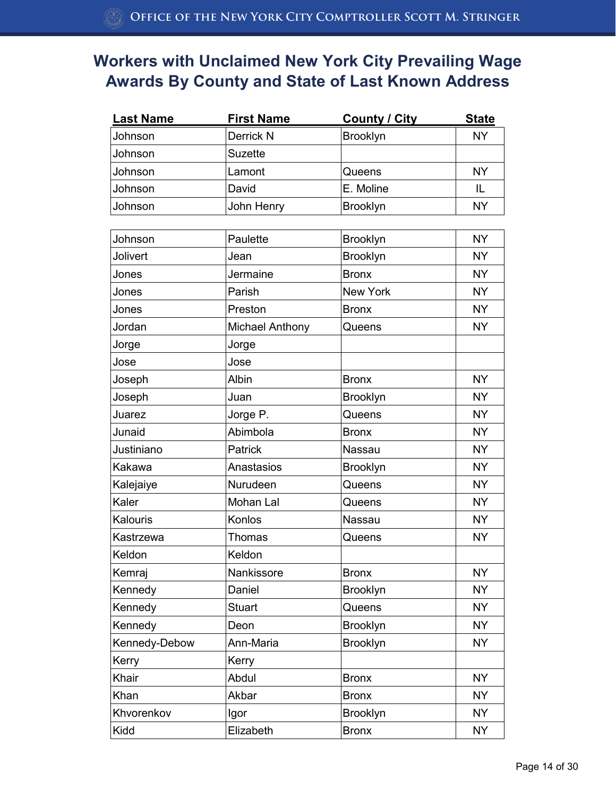| <b>Last Name</b> | <b>First Name</b> | <b>County / City</b> | <b>State</b> |
|------------------|-------------------|----------------------|--------------|
| Johnson          | Derrick N         | <b>Brooklyn</b>      | <b>NY</b>    |
| Johnson          | <b>Suzette</b>    |                      |              |
| Johnson          | Lamont            | Queens               | ΝY           |
| Johnson          | David             | E. Moline            | IL           |
| Johnson          | John Henry        | <b>Brooklyn</b>      | <b>NY</b>    |

| Johnson       | Paulette        | Brooklyn        | <b>NY</b> |
|---------------|-----------------|-----------------|-----------|
| Jolivert      | Jean            | Brooklyn        | <b>NY</b> |
| Jones         | Jermaine        | <b>Bronx</b>    | <b>NY</b> |
| Jones         | Parish          | <b>New York</b> | <b>NY</b> |
| Jones         | Preston         | <b>Bronx</b>    | <b>NY</b> |
| Jordan        | Michael Anthony | Queens          | <b>NY</b> |
| Jorge         | Jorge           |                 |           |
| Jose          | Jose            |                 |           |
| Joseph        | Albin           | <b>Bronx</b>    | <b>NY</b> |
| Joseph        | Juan            | <b>Brooklyn</b> | <b>NY</b> |
| Juarez        | Jorge P.        | Queens          | <b>NY</b> |
| Junaid        | Abimbola        | <b>Bronx</b>    | <b>NY</b> |
| Justiniano    | Patrick         | Nassau          | <b>NY</b> |
| Kakawa        | Anastasios      | Brooklyn        | <b>NY</b> |
| Kalejaiye     | Nurudeen        | Queens          | <b>NY</b> |
| Kaler         | Mohan Lal       | Queens          | <b>NY</b> |
| Kalouris      | Konlos          | Nassau          | <b>NY</b> |
| Kastrzewa     | Thomas          | Queens          | <b>NY</b> |
| Keldon        | Keldon          |                 |           |
| Kemraj        | Nankissore      | <b>Bronx</b>    | <b>NY</b> |
| Kennedy       | Daniel          | Brooklyn        | <b>NY</b> |
| Kennedy       | <b>Stuart</b>   | Queens          | <b>NY</b> |
| Kennedy       | Deon            | Brooklyn        | <b>NY</b> |
| Kennedy-Debow | Ann-Maria       | Brooklyn        | <b>NY</b> |
| Kerry         | Kerry           |                 |           |
| Khair         | Abdul           | <b>Bronx</b>    | <b>NY</b> |
| Khan          | Akbar           | <b>Bronx</b>    | <b>NY</b> |
| Khvorenkov    | Igor            | Brooklyn        | <b>NY</b> |
| Kidd          | Elizabeth       | <b>Bronx</b>    | <b>NY</b> |
|               |                 |                 |           |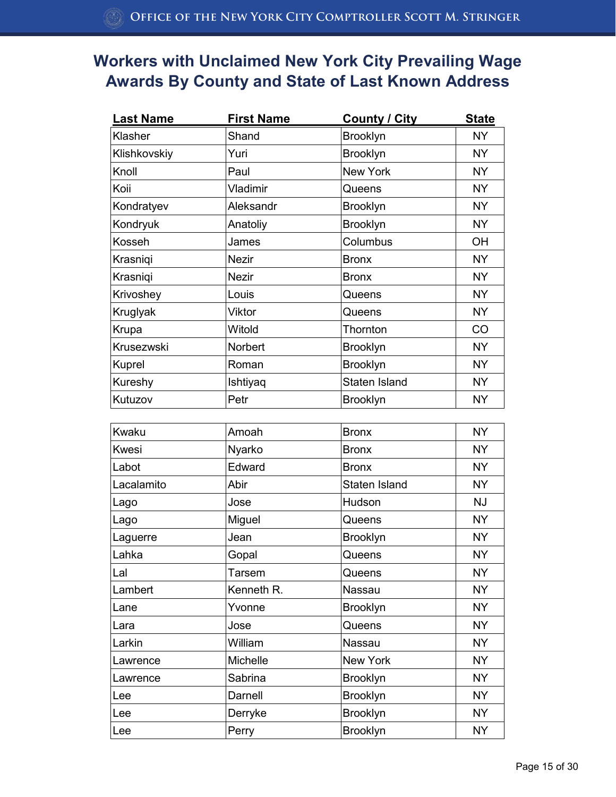| <b>Last Name</b> | <b>First Name</b> | <b>County / City</b> | <b>State</b> |
|------------------|-------------------|----------------------|--------------|
| Klasher          | Shand             | <b>Brooklyn</b>      | <b>NY</b>    |
| Klishkovskiy     | Yuri              | Brooklyn             | <b>NY</b>    |
| Knoll            | Paul              | New York             | <b>NY</b>    |
| Koii             | Vladimir          | Queens               | NY.          |
| Kondratyev       | Aleksandr         | <b>Brooklyn</b>      | <b>NY</b>    |
| Kondryuk         | Anatoliy          | <b>Brooklyn</b>      | <b>NY</b>    |
| Kosseh           | James             | Columbus             | <b>OH</b>    |
| Krasniqi         | <b>Nezir</b>      | <b>Bronx</b>         | <b>NY</b>    |
| Krasniqi         | <b>Nezir</b>      | <b>Bronx</b>         | <b>NY</b>    |
| Krivoshey        | Louis             | Queens               | <b>NY</b>    |
| Kruglyak         | Viktor            | Queens               | <b>NY</b>    |
| Krupa            | Witold            | Thornton             | CO           |
| Krusezwski       | Norbert           | <b>Brooklyn</b>      | <b>NY</b>    |
| Kuprel           | Roman             | <b>Brooklyn</b>      | <b>NY</b>    |
| Kureshy          | Ishtiyaq          | Staten Island        | <b>NY</b>    |
| Kutuzov          | Petr              | <b>Brooklyn</b>      | <b>NY</b>    |

| Kwaku        | Amoah         | <b>Bronx</b>    | <b>NY</b> |
|--------------|---------------|-----------------|-----------|
| <b>Kwesi</b> | Nyarko        | <b>Bronx</b>    | <b>NY</b> |
| Labot        | Edward        | <b>Bronx</b>    | <b>NY</b> |
| Lacalamito   | Abir          | Staten Island   | <b>NY</b> |
| Lago         | Jose          | Hudson          | <b>NJ</b> |
| Lago         | Miguel        | Queens          | <b>NY</b> |
| Laguerre     | Jean          | Brooklyn        | NY.       |
| Lahka        | Gopal         | Queens          | <b>NY</b> |
| Lal          | <b>Tarsem</b> | Queens          | <b>NY</b> |
| Lambert      | Kenneth R.    | Nassau          | <b>NY</b> |
| Lane         | Yvonne        | <b>Brooklyn</b> | <b>NY</b> |
| Lara         | Jose          | Queens          | <b>NY</b> |
| Larkin       | William       | Nassau          | <b>NY</b> |
| Lawrence     | Michelle      | New York        | <b>NY</b> |
| Lawrence     | Sabrina       | <b>Brooklyn</b> | <b>NY</b> |
| Lee          | Darnell       | <b>Brooklyn</b> | <b>NY</b> |
| Lee          | Derryke       | <b>Brooklyn</b> | <b>NY</b> |
| Lee          | Perry         | <b>Brooklyn</b> | <b>NY</b> |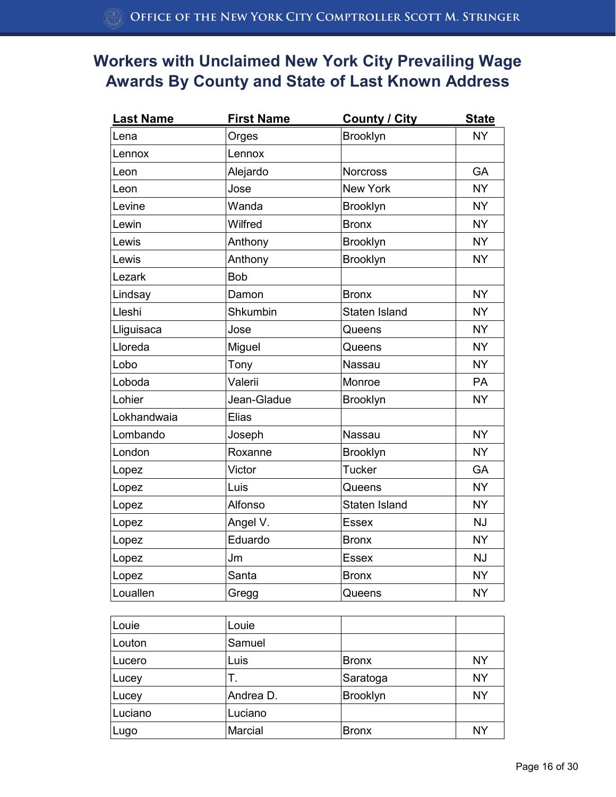| <b>Last Name</b> | <b>First Name</b> | <b>County / City</b> | <b>State</b> |
|------------------|-------------------|----------------------|--------------|
| Lena             | Orges             | Brooklyn             | <b>NY</b>    |
| Lennox           | Lennox            |                      |              |
| Leon             | Alejardo          | <b>Norcross</b>      | <b>GA</b>    |
| Leon             | Jose              | <b>New York</b>      | <b>NY</b>    |
| Levine           | Wanda             | Brooklyn             | <b>NY</b>    |
| Lewin            | Wilfred           | <b>Bronx</b>         | <b>NY</b>    |
| Lewis            | Anthony           | Brooklyn             | <b>NY</b>    |
| Lewis            | Anthony           | Brooklyn             | <b>NY</b>    |
| Lezark           | <b>Bob</b>        |                      |              |
| Lindsay          | Damon             | <b>Bronx</b>         | <b>NY</b>    |
| Lleshi           | Shkumbin          | Staten Island        | <b>NY</b>    |
| Lliguisaca       | Jose              | Queens               | <b>NY</b>    |
| Lloreda          | Miguel            | Queens               | <b>NY</b>    |
| Lobo             | Tony              | Nassau               | <b>NY</b>    |
| Loboda           | Valerii           | Monroe               | PA           |
| Lohier           | Jean-Gladue       | Brooklyn             | <b>NY</b>    |
| Lokhandwaia      | <b>Elias</b>      |                      |              |
| Lombando         | Joseph            | Nassau               | <b>NY</b>    |
| London           | Roxanne           | <b>Brooklyn</b>      | <b>NY</b>    |
| Lopez            | Victor            | <b>Tucker</b>        | GA           |
| Lopez            | Luis              | Queens               | <b>NY</b>    |
| Lopez            | Alfonso           | Staten Island        | <b>NY</b>    |
| Lopez            | Angel V.          | <b>Essex</b>         | <b>NJ</b>    |
| Lopez            | Eduardo           | <b>Bronx</b>         | <b>NY</b>    |
| Lopez            | Jm                | <b>Essex</b>         | <b>NJ</b>    |
| Lopez            | Santa             | <b>Bronx</b>         | <b>NY</b>    |
| Louallen         | Gregg             | Queens               | <b>NY</b>    |

| Louie   | Louie     |              |           |
|---------|-----------|--------------|-----------|
| Louton  | Samuel    |              |           |
| Lucero  | Luis      | <b>Bronx</b> | <b>NY</b> |
| Lucey   | Τ.        | Saratoga     | <b>NY</b> |
| Lucey   | Andrea D. | Brooklyn     | <b>NY</b> |
| Luciano | Luciano   |              |           |
| Lugo    | Marcial   | <b>Bronx</b> | <b>NY</b> |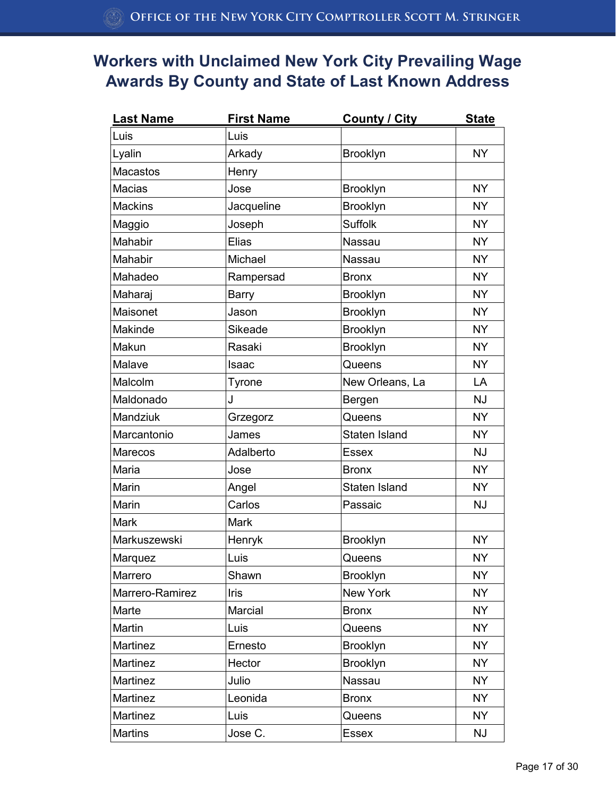| <b>Last Name</b> | <b>First Name</b> | <b>County / City</b> | <b>State</b> |
|------------------|-------------------|----------------------|--------------|
| Luis             | Luis              |                      |              |
| Lyalin           | Arkady            | <b>Brooklyn</b>      | <b>NY</b>    |
| <b>Macastos</b>  | Henry             |                      |              |
| <b>Macias</b>    | Jose              | <b>Brooklyn</b>      | <b>NY</b>    |
| <b>Mackins</b>   | Jacqueline        | Brooklyn             | <b>NY</b>    |
| Maggio           | Joseph            | <b>Suffolk</b>       | <b>NY</b>    |
| Mahabir          | <b>Elias</b>      | <b>Nassau</b>        | <b>NY</b>    |
| Mahabir          | Michael           | Nassau               | <b>NY</b>    |
| Mahadeo          | Rampersad         | <b>Bronx</b>         | <b>NY</b>    |
| Maharaj          | Barry             | <b>Brooklyn</b>      | <b>NY</b>    |
| Maisonet         | Jason             | <b>Brooklyn</b>      | <b>NY</b>    |
| Makinde          | Sikeade           | <b>Brooklyn</b>      | <b>NY</b>    |
| Makun            | Rasaki            | <b>Brooklyn</b>      | <b>NY</b>    |
| Malave           | Isaac             | Queens               | <b>NY</b>    |
| Malcolm          | Tyrone            | New Orleans, La      | LA           |
| Maldonado        | J                 | Bergen               | <b>NJ</b>    |
| Mandziuk         | Grzegorz          | Queens               | <b>NY</b>    |
| Marcantonio      | James             | Staten Island        | <b>NY</b>    |
| <b>Marecos</b>   | Adalberto         | <b>Essex</b>         | <b>NJ</b>    |
| Maria            | Jose              | <b>Bronx</b>         | <b>NY</b>    |
| Marin            | Angel             | <b>Staten Island</b> | <b>NY</b>    |
| Marin            | Carlos            | Passaic              | <b>NJ</b>    |
| Mark             | <b>Mark</b>       |                      |              |
| Markuszewski     | Henryk            | <b>Brooklyn</b>      | <b>NY</b>    |
| Marquez          | Luis              | Queens               | <b>NY</b>    |
| Marrero          | Shawn             | <b>Brooklyn</b>      | <b>NY</b>    |
| Marrero-Ramirez  | <b>Iris</b>       | New York             | <b>NY</b>    |
| Marte            | Marcial           | <b>Bronx</b>         | <b>NY</b>    |
| Martin           | Luis              | Queens               | <b>NY</b>    |
| Martinez         | Ernesto           | <b>Brooklyn</b>      | <b>NY</b>    |
| Martinez         | Hector            | Brooklyn             | <b>NY</b>    |
| Martinez         | Julio             | Nassau               | <b>NY</b>    |
| Martinez         | Leonida           | <b>Bronx</b>         | <b>NY</b>    |
| Martinez         | Luis              | Queens               | <b>NY</b>    |
| <b>Martins</b>   | Jose C.           | <b>Essex</b>         | <b>NJ</b>    |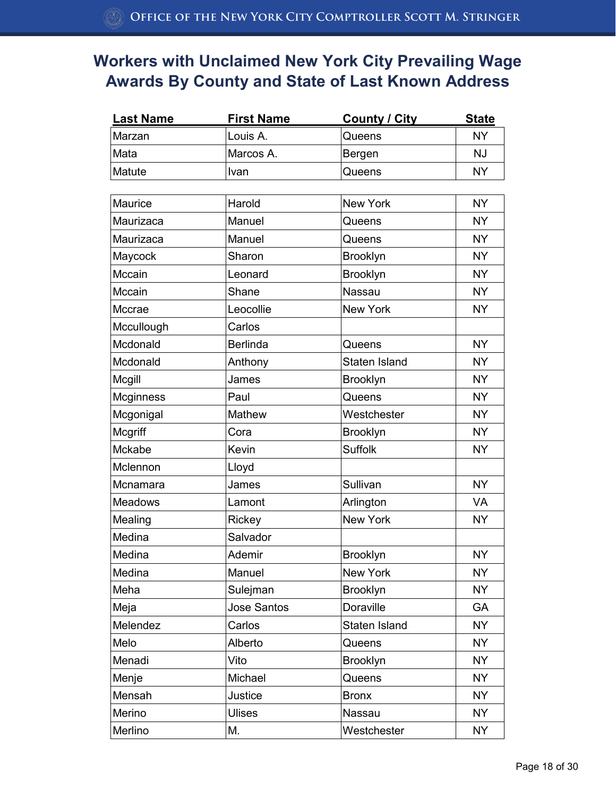| <b>Last Name</b> | <b>First Name</b>  | <b>County / City</b> | <b>State</b> |
|------------------|--------------------|----------------------|--------------|
| Marzan           | Louis A.           | Queens               | <b>NY</b>    |
| Mata             | Marcos A.          | Bergen               | <b>NJ</b>    |
| Matute           | Ivan               | Queens               | <b>NY</b>    |
|                  |                    |                      |              |
| Maurice          | Harold             | <b>New York</b>      | <b>NY</b>    |
| Maurizaca        | Manuel             | Queens               | <b>NY</b>    |
| Maurizaca        | Manuel             | Queens               | <b>NY</b>    |
| Maycock          | Sharon             | <b>Brooklyn</b>      | <b>NY</b>    |
| Mccain           | Leonard            | Brooklyn             | <b>NY</b>    |
| Mccain           | Shane              | Nassau               | <b>NY</b>    |
| Mccrae           | Leocollie          | <b>New York</b>      | <b>NY</b>    |
| Mccullough       | Carlos             |                      |              |
| Mcdonald         | <b>Berlinda</b>    | Queens               | <b>NY</b>    |
| Mcdonald         | Anthony            | Staten Island        | <b>NY</b>    |
| Mcgill           | James              | <b>Brooklyn</b>      | <b>NY</b>    |
| Mcginness        | Paul               | Queens               | <b>NY</b>    |
| Mcgonigal        | Mathew             | Westchester          | <b>NY</b>    |
| Mcgriff          | Cora               | Brooklyn             | <b>NY</b>    |
| Mckabe           | Kevin              | <b>Suffolk</b>       | <b>NY</b>    |
| Mclennon         | Lloyd              |                      |              |
| Mcnamara         | James              | Sullivan             | <b>NY</b>    |
| <b>Meadows</b>   | Lamont             | Arlington            | <b>VA</b>    |
| Mealing          | Rickey             | New York             | <b>NY</b>    |
| Medina           | Salvador           |                      |              |
| Medina           | Ademir             | Brooklyn             | <b>NY</b>    |
| Medina           | Manuel             | New York             | <b>NY</b>    |
| Meha             | Sulejman           | <b>Brooklyn</b>      | <b>NY</b>    |
| Meja             | <b>Jose Santos</b> | Doraville            | GA           |
| Melendez         | Carlos             | Staten Island        | <b>NY</b>    |
| Melo             | Alberto            | Queens               | <b>NY</b>    |
| Menadi           | Vito               | <b>Brooklyn</b>      | <b>NY</b>    |
| Menje            | Michael            | Queens               | <b>NY</b>    |
| Mensah           | Justice            | <b>Bronx</b>         | <b>NY</b>    |
| Merino           | <b>Ulises</b>      | Nassau               | <b>NY</b>    |
| Merlino          | М.                 | Westchester          | <b>NY</b>    |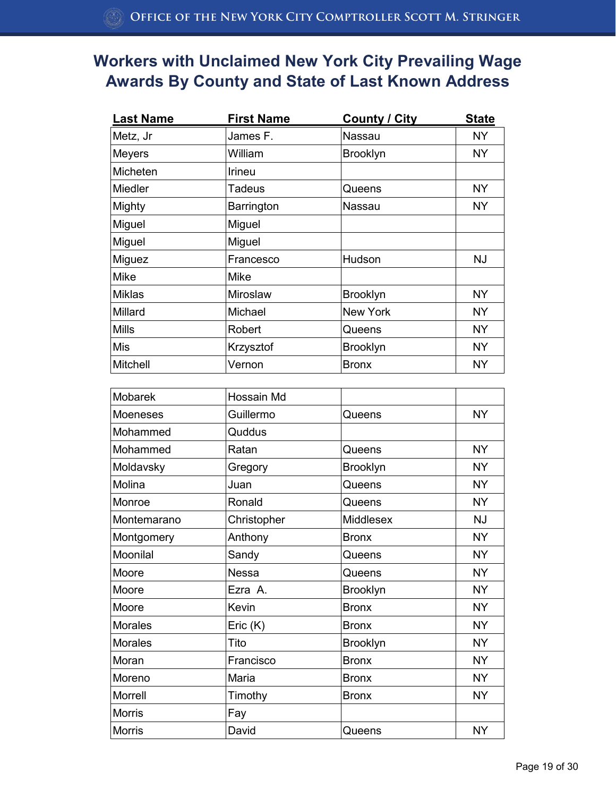| <b>Last Name</b> | <b>First Name</b> | <b>County / City</b> | <b>State</b> |
|------------------|-------------------|----------------------|--------------|
| Metz, Jr         | James F.          | Nassau               | <b>NY</b>    |
| <b>Meyers</b>    | William           | Brooklyn             | <b>NY</b>    |
| Micheten         | <b>Irineu</b>     |                      |              |
| <b>Miedler</b>   | Tadeus            | Queens               | <b>NY</b>    |
| Mighty           | Barrington        | Nassau               | NY           |
| Miguel           | Miguel            |                      |              |
| Miguel           | Miguel            |                      |              |
| Miguez           | Francesco         | Hudson               | <b>NJ</b>    |
| <b>Mike</b>      | <b>Mike</b>       |                      |              |
| <b>Miklas</b>    | Miroslaw          | <b>Brooklyn</b>      | <b>NY</b>    |
| Millard          | Michael           | <b>New York</b>      | <b>NY</b>    |
| <b>Mills</b>     | Robert            | Queens               | <b>NY</b>    |
| Mis              | Krzysztof         | <b>Brooklyn</b>      | <b>NY</b>    |
| Mitchell         | Vernon            | <b>Bronx</b>         | <b>NY</b>    |

| Mobarek         | Hossain Md   |                 |           |
|-----------------|--------------|-----------------|-----------|
| <b>Moeneses</b> | Guillermo    | Queens          | <b>NY</b> |
| Mohammed        | Quddus       |                 |           |
| Mohammed        | Ratan        | Queens          | <b>NY</b> |
| Moldavsky       | Gregory      | <b>Brooklyn</b> | <b>NY</b> |
| Molina          | Juan         | Queens          | <b>NY</b> |
| Monroe          | Ronald       | Queens          | <b>NY</b> |
| Montemarano     | Christopher  | Middlesex       | <b>NJ</b> |
| Montgomery      | Anthony      | <b>Bronx</b>    | <b>NY</b> |
| Moonilal        | Sandy        | Queens          | <b>NY</b> |
| Moore           | <b>Nessa</b> | Queens          | <b>NY</b> |
| Moore           | Ezra A.      | <b>Brooklyn</b> | <b>NY</b> |
| Moore           | Kevin        | <b>Bronx</b>    | <b>NY</b> |
| <b>Morales</b>  | Eric (K)     | <b>Bronx</b>    | <b>NY</b> |
| <b>Morales</b>  | Tito         | <b>Brooklyn</b> | <b>NY</b> |
| Moran           | Francisco    | <b>Bronx</b>    | <b>NY</b> |
| Moreno          | Maria        | <b>Bronx</b>    | <b>NY</b> |
| <b>Morrell</b>  | Timothy      | <b>Bronx</b>    | <b>NY</b> |
| <b>Morris</b>   | Fay          |                 |           |
| <b>Morris</b>   | David        | Queens          | <b>NY</b> |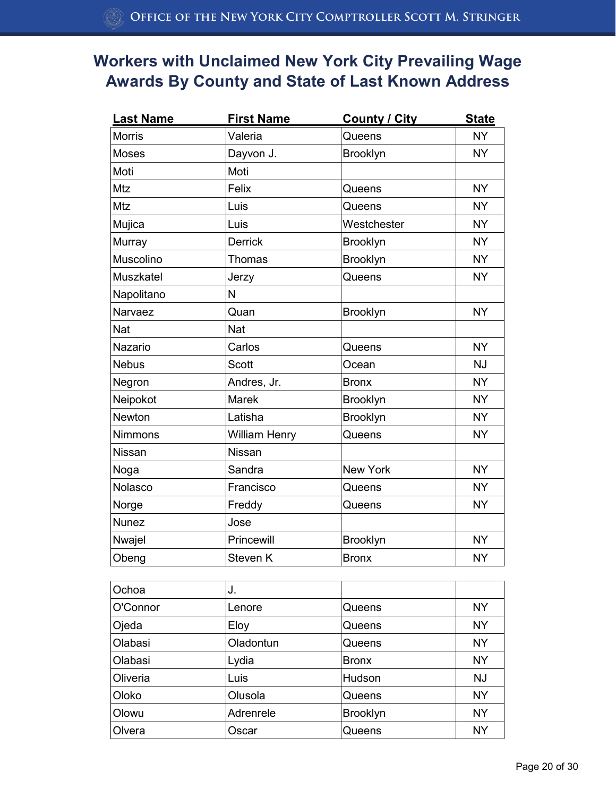| <b>Last Name</b> | <b>First Name</b>    | <b>County / City</b> | <b>State</b> |
|------------------|----------------------|----------------------|--------------|
| <b>Morris</b>    | Valeria              | Queens               | <b>NY</b>    |
| <b>Moses</b>     | Dayvon J.            | Brooklyn             | <b>NY</b>    |
| Moti             | Moti                 |                      |              |
| Mtz              | Felix                | Queens               | <b>NY</b>    |
| Mtz              | Luis                 | Queens               | <b>NY</b>    |
| Mujica           | Luis                 | Westchester          | <b>NY</b>    |
| Murray           | <b>Derrick</b>       | Brooklyn             | <b>NY</b>    |
| Muscolino        | Thomas               | Brooklyn             | <b>NY</b>    |
| Muszkatel        | Jerzy                | Queens               | <b>NY</b>    |
| Napolitano       | N                    |                      |              |
| Narvaez          | Quan                 | Brooklyn             | <b>NY</b>    |
| <b>Nat</b>       | <b>Nat</b>           |                      |              |
| Nazario          | Carlos               | Queens               | <b>NY</b>    |
| <b>Nebus</b>     | <b>Scott</b>         | Ocean                | <b>NJ</b>    |
| Negron           | Andres, Jr.          | <b>Bronx</b>         | <b>NY</b>    |
| Neipokot         | <b>Marek</b>         | Brooklyn             | <b>NY</b>    |
| Newton           | Latisha              | Brooklyn             | <b>NY</b>    |
| <b>Nimmons</b>   | <b>William Henry</b> | Queens               | <b>NY</b>    |
| <b>Nissan</b>    | Nissan               |                      |              |
| Noga             | Sandra               | New York             | <b>NY</b>    |
| Nolasco          | Francisco            | Queens               | <b>NY</b>    |
| Norge            | Freddy               | Queens               | <b>NY</b>    |
| <b>Nunez</b>     | Jose                 |                      |              |
| Nwajel           | Princewill           | Brooklyn             | <b>NY</b>    |
| Obeng            | Steven <sub>K</sub>  | <b>Bronx</b>         | <b>NY</b>    |

| Ochoa    | J.        |                 |           |
|----------|-----------|-----------------|-----------|
| O'Connor | Lenore    | Queens          | <b>NY</b> |
| Ojeda    | Eloy      | Queens          | <b>NY</b> |
| Olabasi  | Oladontun | Queens          | <b>NY</b> |
| Olabasi  | Lydia     | <b>Bronx</b>    | <b>NY</b> |
| Oliveria | Luis      | Hudson          | <b>NJ</b> |
| Oloko    | Olusola   | Queens          | <b>NY</b> |
| Olowu    | Adrenrele | <b>Brooklyn</b> | <b>NY</b> |
| Olvera   | Oscar     | Queens          | <b>NY</b> |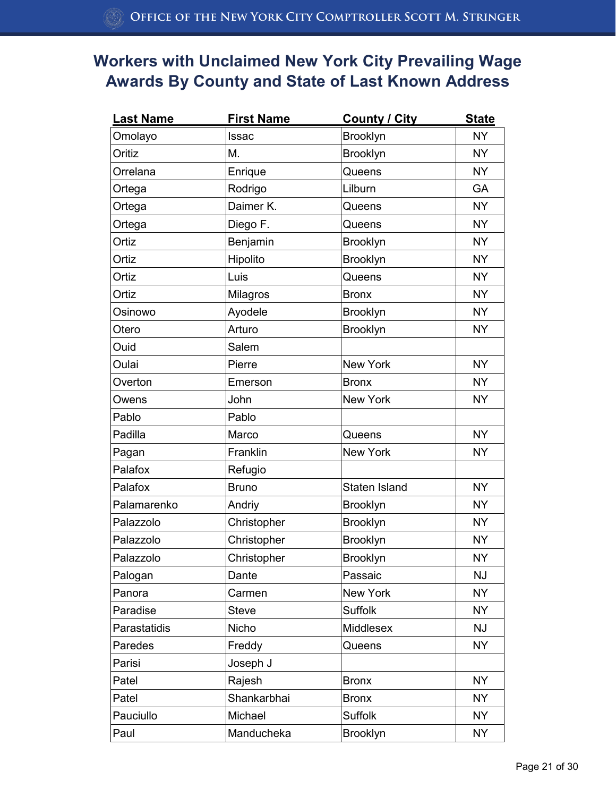| <b>Last Name</b> | <b>First Name</b> | <b>County / City</b> | <b>State</b> |
|------------------|-------------------|----------------------|--------------|
| Omolayo          | <b>Issac</b>      | Brooklyn             | <b>NY</b>    |
| Oritiz           | М.                | <b>Brooklyn</b>      | <b>NY</b>    |
| Orrelana         | Enrique           | Queens               | <b>NY</b>    |
| Ortega           | Rodrigo           | Lilburn              | GA           |
| Ortega           | Daimer K.         | Queens               | <b>NY</b>    |
| Ortega           | Diego F.          | Queens               | <b>NY</b>    |
| Ortiz            | Benjamin          | <b>Brooklyn</b>      | <b>NY</b>    |
| Ortiz            | Hipolito          | <b>Brooklyn</b>      | <b>NY</b>    |
| Ortiz            | Luis              | Queens               | <b>NY</b>    |
| Ortiz            | Milagros          | <b>Bronx</b>         | <b>NY</b>    |
| Osinowo          | Ayodele           | <b>Brooklyn</b>      | <b>NY</b>    |
| Otero            | Arturo            | Brooklyn             | <b>NY</b>    |
| Ouid             | Salem             |                      |              |
| Oulai            | Pierre            | <b>New York</b>      | <b>NY</b>    |
| Overton          | Emerson           | <b>Bronx</b>         | <b>NY</b>    |
| Owens            | John              | <b>New York</b>      | <b>NY</b>    |
| Pablo            | Pablo             |                      |              |
| Padilla          | Marco             | Queens               | <b>NY</b>    |
| Pagan            | Franklin          | <b>New York</b>      | <b>NY</b>    |
| Palafox          | Refugio           |                      |              |
| Palafox          | <b>Bruno</b>      | Staten Island        | <b>NY</b>    |
| Palamarenko      | Andriy            | <b>Brooklyn</b>      | <b>NY</b>    |
| Palazzolo        | Christopher       | <b>Brooklyn</b>      | <b>NY</b>    |
| Palazzolo        | Christopher       | <b>Brooklyn</b>      | <b>NY</b>    |
| Palazzolo        | Christopher       | Brooklyn             | <b>NY</b>    |
| Palogan          | Dante             | Passaic              | <b>NJ</b>    |
| Panora           | Carmen            | New York             | <b>NY</b>    |
| Paradise         | <b>Steve</b>      | <b>Suffolk</b>       | <b>NY</b>    |
| Parastatidis     | Nicho             | Middlesex            | NJ           |
| Paredes          | Freddy            | Queens               | <b>NY</b>    |
| Parisi           | Joseph J          |                      |              |
| Patel            | Rajesh            | <b>Bronx</b>         | <b>NY</b>    |
| Patel            | Shankarbhai       | <b>Bronx</b>         | <b>NY</b>    |
| Pauciullo        | Michael           | <b>Suffolk</b>       | <b>NY</b>    |
| Paul             | Manducheka        | <b>Brooklyn</b>      | <b>NY</b>    |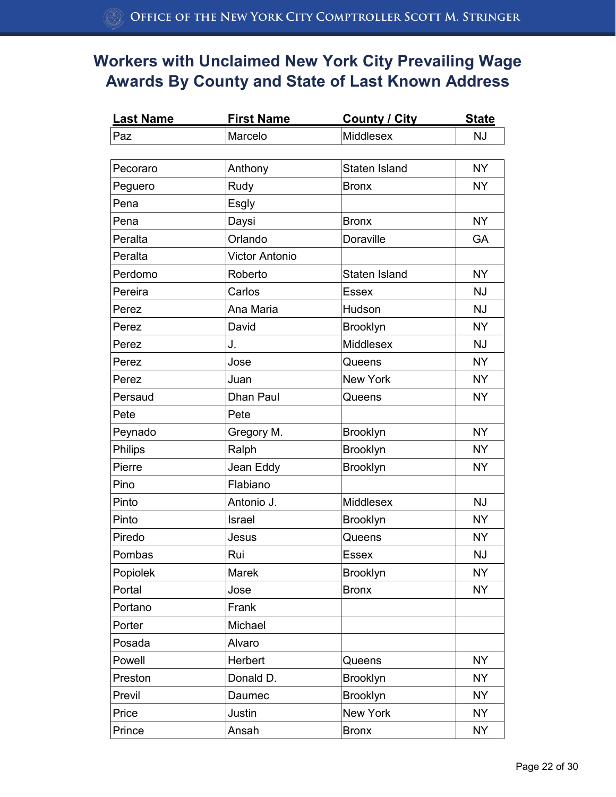| Last Name | First Name            | <b>County / City</b> | <b>State</b> |
|-----------|-----------------------|----------------------|--------------|
| Paz       | Marcelo               | Middlesex            | <b>NJ</b>    |
|           |                       |                      |              |
| Pecoraro  | Anthony               | Staten Island        | <b>NY</b>    |
| Peguero   | Rudy                  | <b>Bronx</b>         | <b>NY</b>    |
| Pena      | Esgly                 |                      |              |
| Pena      | Daysi                 | <b>Bronx</b>         | <b>NY</b>    |
| Peralta   | Orlando               | Doraville            | GA           |
| Peralta   | <b>Victor Antonio</b> |                      |              |
| Perdomo   | Roberto               | Staten Island        | <b>NY</b>    |
| Pereira   | Carlos                | <b>Essex</b>         | <b>NJ</b>    |
| Perez     | Ana Maria             | Hudson               | <b>NJ</b>    |
| Perez     | David                 | Brooklyn             | <b>NY</b>    |
| Perez     | J.                    | Middlesex            | <b>NJ</b>    |
| Perez     | Jose                  | Queens               | <b>NY</b>    |
| Perez     | Juan                  | New York             | <b>NY</b>    |
| Persaud   | Dhan Paul             | Queens               | <b>NY</b>    |
| Pete      | Pete                  |                      |              |
| Peynado   | Gregory M.            | <b>Brooklyn</b>      | <b>NY</b>    |
| Philips   | Ralph                 | Brooklyn             | <b>NY</b>    |
| Pierre    | Jean Eddy             | Brooklyn             | <b>NY</b>    |
| Pino      | Flabiano              |                      |              |
| Pinto     | Antonio J.            | Middlesex            | <b>NJ</b>    |
| Pinto     | Israel                | <b>Brooklyn</b>      | <b>NY</b>    |
| Piredo    | Jesus                 | Queens               | <b>NY</b>    |
| Pombas    | Rui                   | <b>Essex</b>         | <b>NJ</b>    |
| Popiolek  | Marek                 | Brooklyn             | <b>NY</b>    |
| Portal    | Jose                  | <b>Bronx</b>         | <b>NY</b>    |
| Portano   | Frank                 |                      |              |
| Porter    | Michael               |                      |              |
| Posada    | Alvaro                |                      |              |
| Powell    | Herbert               | Queens               | <b>NY</b>    |
| Preston   | Donald D.             | <b>Brooklyn</b>      | <b>NY</b>    |
| Previl    | Daumec                | <b>Brooklyn</b>      | <b>NY</b>    |
| Price     | Justin                | New York             | <b>NY</b>    |
| Prince    | Ansah                 | <b>Bronx</b>         | <b>NY</b>    |
|           |                       |                      |              |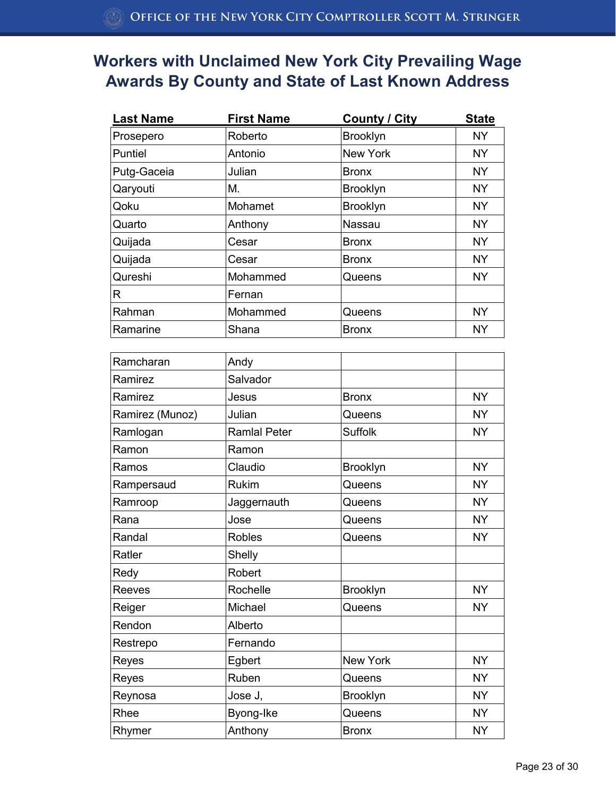| <b>Last Name</b> | <b>First Name</b>   | <b>County / City</b> | <b>State</b> |
|------------------|---------------------|----------------------|--------------|
| Prosepero        | Roberto             | <b>Brooklyn</b>      | <b>NY</b>    |
| Puntiel          | Antonio             | New York             | <b>NY</b>    |
| Putg-Gaceia      | Julian              | <b>Bronx</b>         | <b>NY</b>    |
| Qaryouti         | Μ.                  | <b>Brooklyn</b>      | <b>NY</b>    |
| Qoku             | Mohamet             | Brooklyn             | <b>NY</b>    |
| Quarto           | Anthony             | Nassau               | <b>NY</b>    |
| Quijada          | Cesar               | <b>Bronx</b>         | <b>NY</b>    |
| Quijada          | Cesar               | <b>Bronx</b>         | <b>NY</b>    |
| Qureshi          | Mohammed            | Queens               | <b>NY</b>    |
| R                | Fernan              |                      |              |
| Rahman           | Mohammed            | Queens               | <b>NY</b>    |
| Ramarine         | Shana               | <b>Bronx</b>         | <b>NY</b>    |
| Ramcharan        | Andy                |                      |              |
| Ramirez          | Salvador            |                      |              |
| Ramirez          | Jesus               | <b>Bronx</b>         | <b>NY</b>    |
| Ramirez (Munoz)  | Julian              | Queens               | <b>NY</b>    |
| Ramlogan         | <b>Ramlal Peter</b> | <b>Suffolk</b>       | <b>NY</b>    |
| Ramon            | Ramon               |                      |              |
| Ramos            | Claudio             | Brooklyn             | <b>NY</b>    |
| Rampersaud       | <b>Rukim</b>        | Queens               | <b>NY</b>    |
| Ramroop          | Jaggernauth         | Queens               | <b>NY</b>    |
| Rana             | Jose                | Queens               | <b>NY</b>    |
| Randal           | <b>Robles</b>       | Queens               | <b>NY</b>    |
| Ratler           | Shelly              |                      |              |
| Redy             | Robert              |                      |              |
| Reeves           | Rochelle            | Brooklyn             | <b>NY</b>    |
| Reiger           | Michael             | Queens               | <b>NY</b>    |
| Rendon           | Alberto             |                      |              |
| Restrepo         | Fernando            |                      |              |
| Reyes            | Egbert              | New York             | <b>NY</b>    |

Reyes Ruben Queens NY Reynosa  $\vert$ Jose J,  $\vert$ Brooklyn  $\vert$  NY Rhee Byong-Ike Queens NY Rhymer Anthony Bronx NY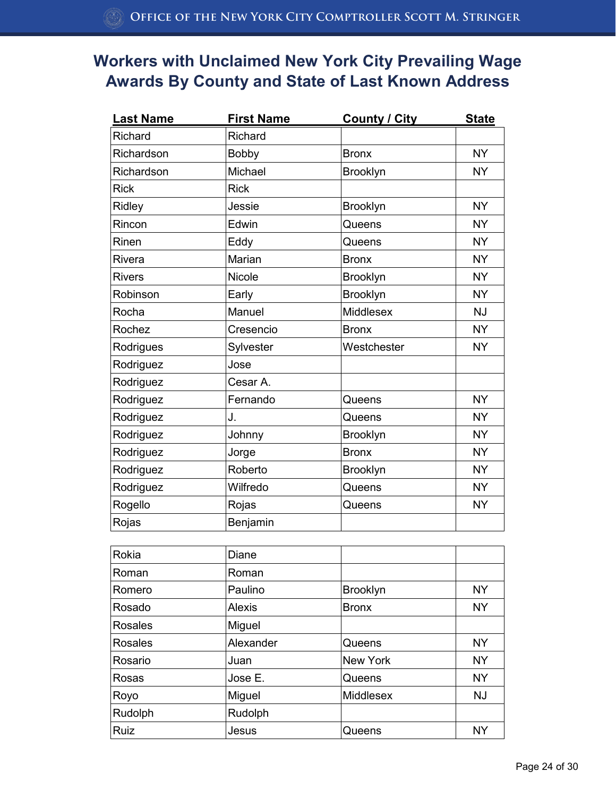| <b>Last Name</b> | <b>First Name</b> | County / City   | <b>State</b> |
|------------------|-------------------|-----------------|--------------|
| Richard          | Richard           |                 |              |
| Richardson       | Bobby             | <b>Bronx</b>    | <b>NY</b>    |
| Richardson       | Michael           | Brooklyn        | <b>NY</b>    |
| <b>Rick</b>      | <b>Rick</b>       |                 |              |
| Ridley           | Jessie            | Brooklyn        | <b>NY</b>    |
| Rincon           | Edwin             | Queens          | <b>NY</b>    |
| Rinen            | Eddy              | Queens          | <b>NY</b>    |
| Rivera           | Marian            | <b>Bronx</b>    | <b>NY</b>    |
| <b>Rivers</b>    | <b>Nicole</b>     | <b>Brooklyn</b> | <b>NY</b>    |
| Robinson         | Early             | Brooklyn        | <b>NY</b>    |
| Rocha            | Manuel            | Middlesex       | <b>NJ</b>    |
| Rochez           | Cresencio         | <b>Bronx</b>    | <b>NY</b>    |
| Rodrigues        | Sylvester         | Westchester     | <b>NY</b>    |
| Rodriguez        | Jose              |                 |              |
| Rodriguez        | Cesar A.          |                 |              |
| Rodriguez        | Fernando          | Queens          | <b>NY</b>    |
| Rodriguez        | J.                | Queens          | NY.          |
| Rodriguez        | Johnny            | Brooklyn        | <b>NY</b>    |
| Rodriguez        | Jorge             | <b>Bronx</b>    | <b>NY</b>    |
| Rodriguez        | Roberto           | <b>Brooklyn</b> | <b>NY</b>    |
| Rodriguez        | Wilfredo          | Queens          | <b>NY</b>    |
| Rogello          | Rojas             | Queens          | <b>NY</b>    |
| Rojas            | Benjamin          |                 |              |

| Rokia       | Diane     |                  |           |
|-------------|-----------|------------------|-----------|
| Roman       | Roman     |                  |           |
| Romero      | Paulino   | Brooklyn         | <b>NY</b> |
| Rosado      | Alexis    | <b>Bronx</b>     | <b>NY</b> |
| Rosales     | Miguel    |                  |           |
| Rosales     | Alexander | Queens           | <b>NY</b> |
| Rosario     | Juan      | New York         | <b>NY</b> |
| Rosas       | Jose E.   | Queens           | <b>NY</b> |
| Royo        | Miguel    | <b>Middlesex</b> | <b>NJ</b> |
| Rudolph     | Rudolph   |                  |           |
| <b>Ruiz</b> | Jesus     | Queens           | <b>NY</b> |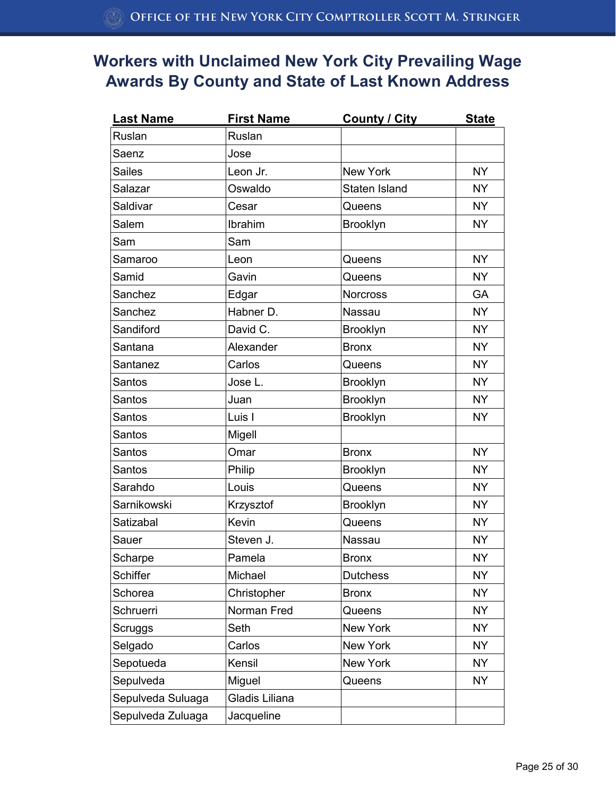| <b>Last Name</b>  | <b>First Name</b> | <b>County / City</b> | <b>State</b> |
|-------------------|-------------------|----------------------|--------------|
| Ruslan            | Ruslan            |                      |              |
| Saenz             | Jose              |                      |              |
| <b>Sailes</b>     | Leon Jr.          | New York             | <b>NY</b>    |
| Salazar           | Oswaldo           | Staten Island        | <b>NY</b>    |
| Saldivar          | Cesar             | Queens               | <b>NY</b>    |
| Salem             | Ibrahim           | <b>Brooklyn</b>      | <b>NY</b>    |
| Sam               | Sam               |                      |              |
| Samaroo           | Leon              | Queens               | <b>NY</b>    |
| Samid             | Gavin             | Queens               | <b>NY</b>    |
| Sanchez           | Edgar             | <b>Norcross</b>      | GA           |
| Sanchez           | Habner D.         | Nassau               | <b>NY</b>    |
| Sandiford         | David C.          | <b>Brooklyn</b>      | <b>NY</b>    |
| Santana           | Alexander         | <b>Bronx</b>         | <b>NY</b>    |
| Santanez          | Carlos            | Queens               | <b>NY</b>    |
| Santos            | Jose L.           | <b>Brooklyn</b>      | <b>NY</b>    |
| Santos            | Juan              | Brooklyn             | <b>NY</b>    |
| <b>Santos</b>     | Luis I            | <b>Brooklyn</b>      | <b>NY</b>    |
| Santos            | Migell            |                      |              |
| <b>Santos</b>     | Omar              | <b>Bronx</b>         | <b>NY</b>    |
| Santos            | Philip            | <b>Brooklyn</b>      | <b>NY</b>    |
| Sarahdo           | Louis             | Queens               | <b>NY</b>    |
| Sarnikowski       | Krzysztof         | <b>Brooklyn</b>      | <b>NY</b>    |
| Satizabal         | Kevin             | Queens               | <b>NY</b>    |
| Sauer             | Steven J.         | Nassau               | <b>NY</b>    |
| Scharpe           | Pamela            | <b>Bronx</b>         | <b>NY</b>    |
| <b>Schiffer</b>   | Michael           | <b>Dutchess</b>      | <b>NY</b>    |
| Schorea           | Christopher       | <b>Bronx</b>         | <b>NY</b>    |
| Schruerri         | Norman Fred       | Queens               | <b>NY</b>    |
| Scruggs           | Seth              | New York             | NY.          |
| Selgado           | Carlos            | New York             | <b>NY</b>    |
| Sepotueda         | Kensil            | New York             | <b>NY</b>    |
| Sepulveda         | Miguel            | Queens               | <b>NY</b>    |
| Sepulveda Suluaga | Gladis Liliana    |                      |              |
| Sepulveda Zuluaga | Jacqueline        |                      |              |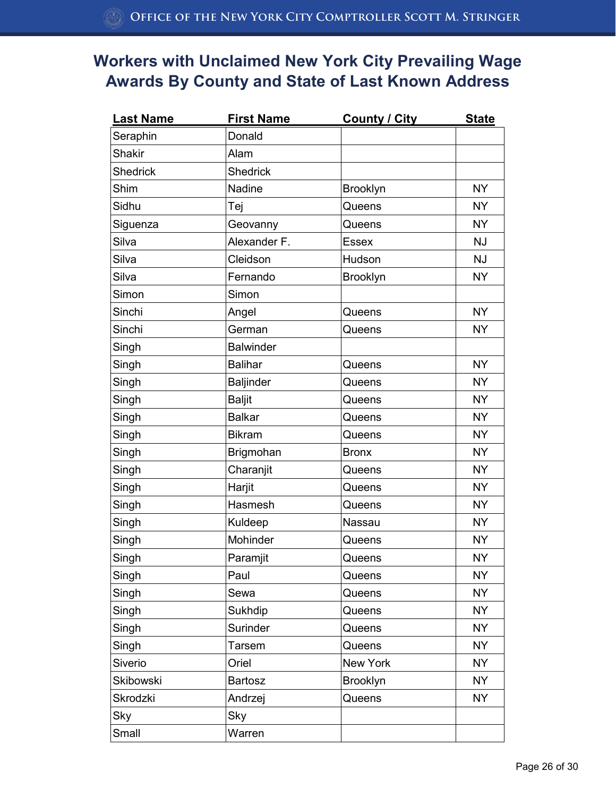| <b>Last Name</b> | <b>First Name</b> | <b>County / City</b> | <b>State</b> |
|------------------|-------------------|----------------------|--------------|
| Seraphin         | Donald            |                      |              |
| <b>Shakir</b>    | Alam              |                      |              |
| <b>Shedrick</b>  | <b>Shedrick</b>   |                      |              |
| Shim             | Nadine            | <b>Brooklyn</b>      | <b>NY</b>    |
| Sidhu            | Tej               | Queens               | <b>NY</b>    |
| Siguenza         | Geovanny          | Queens               | <b>NY</b>    |
| Silva            | Alexander F.      | <b>Essex</b>         | <b>NJ</b>    |
| Silva            | Cleidson          | Hudson               | <b>NJ</b>    |
| Silva            | Fernando          | <b>Brooklyn</b>      | <b>NY</b>    |
| Simon            | Simon             |                      |              |
| Sinchi           | Angel             | Queens               | <b>NY</b>    |
| Sinchi           | German            | Queens               | <b>NY</b>    |
| Singh            | <b>Balwinder</b>  |                      |              |
| Singh            | <b>Balihar</b>    | Queens               | <b>NY</b>    |
| Singh            | <b>Baljinder</b>  | Queens               | <b>NY</b>    |
| Singh            | <b>Baljit</b>     | Queens               | <b>NY</b>    |
| Singh            | <b>Balkar</b>     | Queens               | <b>NY</b>    |
| Singh            | <b>Bikram</b>     | Queens               | <b>NY</b>    |
| Singh            | Brigmohan         | <b>Bronx</b>         | <b>NY</b>    |
| Singh            | Charanjit         | Queens               | <b>NY</b>    |
| Singh            | Harjit            | Queens               | <b>NY</b>    |
| Singh            | Hasmesh           | Queens               | <b>NY</b>    |
| Singh            | Kuldeep           | Nassau               | <b>NY</b>    |
| Singh            | Mohinder          | Queens               | <b>NY</b>    |
| Singh            | Paramjit          | Queens               | <b>NY</b>    |
| Singh            | Paul              | Queens               | <b>NY</b>    |
| Singh            | Sewa              | Queens               | <b>NY</b>    |
| Singh            | Sukhdip           | Queens               | <b>NY</b>    |
| Singh            | Surinder          | Queens               | <b>NY</b>    |
| Singh            | <b>Tarsem</b>     | Queens               | <b>NY</b>    |
| Siverio          | Oriel             | New York             | <b>NY</b>    |
| Skibowski        | <b>Bartosz</b>    | <b>Brooklyn</b>      | <b>NY</b>    |
| Skrodzki         | Andrzej           | Queens               | <b>NY</b>    |
| Sky              | Sky               |                      |              |
| Small            | Warren            |                      |              |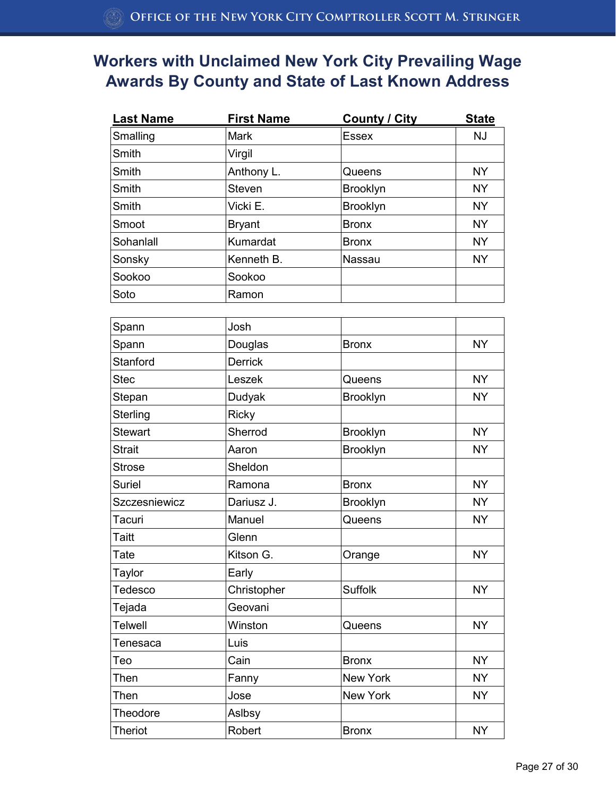| <b>Last Name</b> | <b>First Name</b> | <b>County / City</b> | <b>State</b> |
|------------------|-------------------|----------------------|--------------|
| Smalling         | Mark              | <b>Essex</b>         | <b>NJ</b>    |
| Smith            | Virgil            |                      |              |
| Smith            | Anthony L.        | Queens               | <b>NY</b>    |
| Smith            | Steven            | <b>Brooklyn</b>      | <b>NY</b>    |
| Smith            | Vicki E.          | <b>Brooklyn</b>      | <b>NY</b>    |
| Smoot            | <b>Bryant</b>     | <b>Bronx</b>         | <b>NY</b>    |
| Sohanlall        | Kumardat          | <b>Bronx</b>         | <b>NY</b>    |
| Sonsky           | Kenneth B.        | Nassau               | <b>NY</b>    |
| Sookoo           | Sookoo            |                      |              |
| Soto             | Ramon             |                      |              |
| Spann            | Josh              |                      |              |
| Spann            | Douglas           | <b>Bronx</b>         | <b>NY</b>    |
| Stanford         | <b>Derrick</b>    |                      |              |
| <b>Stec</b>      | Leszek            | Queens               | <b>NY</b>    |
| Stepan           | Dudyak            | <b>Brooklyn</b>      | <b>NY</b>    |
| Sterling         | <b>Ricky</b>      |                      |              |
| <b>Stewart</b>   | Sherrod           | Brooklyn             | <b>NY</b>    |
| <b>Strait</b>    | Aaron             | Brooklyn             | <b>NY</b>    |
| <b>Strose</b>    | Sheldon           |                      |              |
| Suriel           | Ramona            | <b>Bronx</b>         | <b>NY</b>    |
| Szczesniewicz    | Dariusz J.        | <b>Brooklyn</b>      | <b>NY</b>    |
| Tacuri           | Manuel            | Queens               | <b>NY</b>    |
| Taitt            | Glenn             |                      |              |
| Tate             | Kitson G.         | Orange               | <b>NY</b>    |
| <b>Taylor</b>    | Early             |                      |              |
| Tedesco          | Christopher       | <b>Suffolk</b>       | <b>NY</b>    |
| Tejada           | Geovani           |                      |              |
| <b>Telwell</b>   | Winston           | Queens               | <b>NY</b>    |
| Tenesaca         | Luis              |                      |              |
| Teo              | Cain              | <b>Bronx</b>         | <b>NY</b>    |
| Then             | Fanny             | New York             | <b>NY</b>    |
| Then             | Jose              | New York             | <b>NY</b>    |
| Theodore         | Aslbsy            |                      |              |
| <b>Theriot</b>   | Robert            | <b>Bronx</b>         | <b>NY</b>    |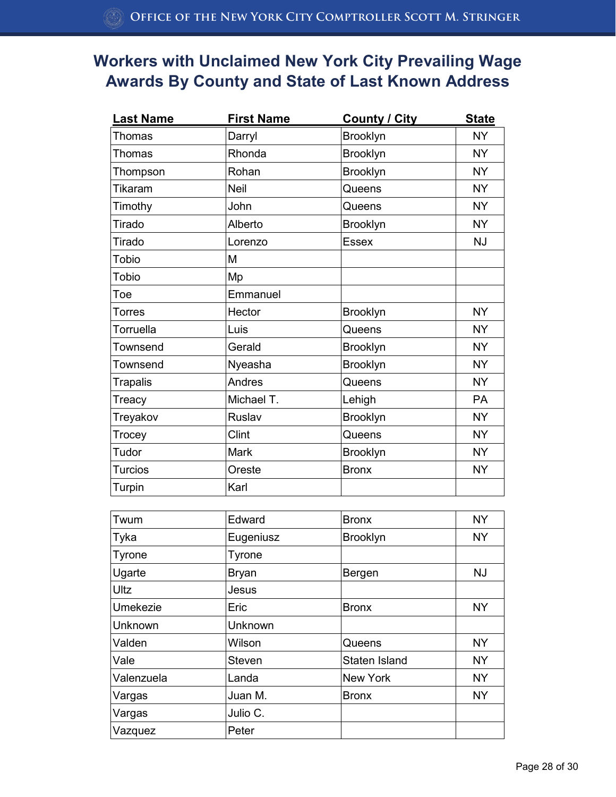| <b>Last Name</b> | <b>First Name</b> | <b>County / City</b> | <b>State</b> |
|------------------|-------------------|----------------------|--------------|
| Thomas           | Darryl            | <b>Brooklyn</b>      | <b>NY</b>    |
| Thomas           | Rhonda            | Brooklyn             | <b>NY</b>    |
| Thompson         | Rohan             | <b>Brooklyn</b>      | <b>NY</b>    |
| Tikaram          | <b>Neil</b>       | Queens               | <b>NY</b>    |
| Timothy          | John              | Queens               | <b>NY</b>    |
| Tirado           | Alberto           | <b>Brooklyn</b>      | <b>NY</b>    |
| Tirado           | Lorenzo           | Essex                | <b>NJ</b>    |
| <b>Tobio</b>     | M                 |                      |              |
| <b>Tobio</b>     | Mp                |                      |              |
| Toe              | Emmanuel          |                      |              |
| <b>Torres</b>    | Hector            | <b>Brooklyn</b>      | <b>NY</b>    |
| Torruella        | Luis              | Queens               | <b>NY</b>    |
| Townsend         | Gerald            | <b>Brooklyn</b>      | <b>NY</b>    |
| Townsend         | Nyeasha           | <b>Brooklyn</b>      | <b>NY</b>    |
| <b>Trapalis</b>  | Andres            | Queens               | <b>NY</b>    |
| Treacy           | Michael T.        | Lehigh               | <b>PA</b>    |
| Treyakov         | Ruslav            | <b>Brooklyn</b>      | <b>NY</b>    |
| Trocey           | Clint             | Queens               | <b>NY</b>    |
| Tudor            | Mark              | <b>Brooklyn</b>      | <b>NY</b>    |
| <b>Turcios</b>   | Oreste            | <b>Bronx</b>         | <b>NY</b>    |
| Turpin           | Karl              |                      |              |

| Twum          | Edward         | <b>Bronx</b>    | <b>NY</b> |
|---------------|----------------|-----------------|-----------|
| Tyka          | Eugeniusz      | <b>Brooklyn</b> | <b>NY</b> |
| <b>Tyrone</b> | Tyrone         |                 |           |
| Ugarte        | <b>Bryan</b>   | Bergen          | <b>NJ</b> |
| Ultz          | Jesus          |                 |           |
| Umekezie      | Eric           | <b>Bronx</b>    | <b>NY</b> |
| Unknown       | <b>Unknown</b> |                 |           |
| Valden        | Wilson         | Queens          | <b>NY</b> |
| Vale          | Steven         | Staten Island   | <b>NY</b> |
| Valenzuela    | Landa          | New York        | <b>NY</b> |
| Vargas        | Juan M.        | <b>Bronx</b>    | <b>NY</b> |
| Vargas        | Julio C.       |                 |           |
| Vazquez       | Peter          |                 |           |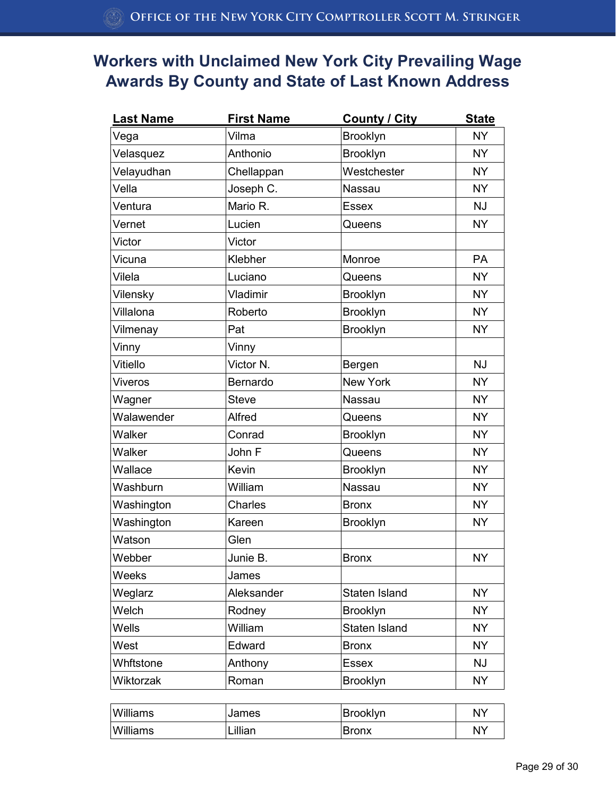| <b>Last Name</b> | <b>First Name</b> | <b>County / City</b> | <b>State</b> |
|------------------|-------------------|----------------------|--------------|
| Vega             | Vilma             | Brooklyn             | <b>NY</b>    |
| Velasquez        | Anthonio          | <b>Brooklyn</b>      | <b>NY</b>    |
| Velayudhan       | Chellappan        | Westchester          | <b>NY</b>    |
| Vella            | Joseph C.         | Nassau               | <b>NY</b>    |
| Ventura          | Mario R.          | <b>Essex</b>         | <b>NJ</b>    |
| Vernet           | Lucien            | Queens               | <b>NY</b>    |
| Victor           | Victor            |                      |              |
| Vicuna           | Klebher           | Monroe               | PA           |
| Vilela           | Luciano           | Queens               | <b>NY</b>    |
| Vilensky         | Vladimir          | <b>Brooklyn</b>      | <b>NY</b>    |
| Villalona        | Roberto           | <b>Brooklyn</b>      | <b>NY</b>    |
| Vilmenay         | Pat               | Brooklyn             | <b>NY</b>    |
| Vinny            | Vinny             |                      |              |
| Vitiello         | Victor N.         | Bergen               | <b>NJ</b>    |
| <b>Viveros</b>   | Bernardo          | New York             | <b>NY</b>    |
| Wagner           | <b>Steve</b>      | Nassau               | <b>NY</b>    |
| Walawender       | Alfred            | Queens               | <b>NY</b>    |
| Walker           | Conrad            | <b>Brooklyn</b>      | <b>NY</b>    |
| Walker           | John F            | Queens               | <b>NY</b>    |
| Wallace          | Kevin             | <b>Brooklyn</b>      | <b>NY</b>    |
| Washburn         | William           | Nassau               | <b>NY</b>    |
| Washington       | Charles           | <b>Bronx</b>         | <b>NY</b>    |
| Washington       | Kareen            | Brooklyn             | <b>NY</b>    |
| Watson           | Glen              |                      |              |
| Webber           | Junie B.          | <b>Bronx</b>         | <b>NY</b>    |
| Weeks            | James             |                      |              |
| Weglarz          | Aleksander        | Staten Island        | <b>NY</b>    |
| Welch            | Rodney            | <b>Brooklyn</b>      | <b>NY</b>    |
| Wells            | William           | Staten Island        | <b>NY</b>    |
| West             | Edward            | <b>Bronx</b>         | <b>NY</b>    |
| Whftstone        | Anthony           | Essex                | <b>NJ</b>    |
| Wiktorzak        | Roman             | Brooklyn             | <b>NY</b>    |

| Williams | <b>James</b> | Brooklyn | <b>NY</b> |
|----------|--------------|----------|-----------|
| Williams | Lillian      | ∣Bronx   | <b>NY</b> |